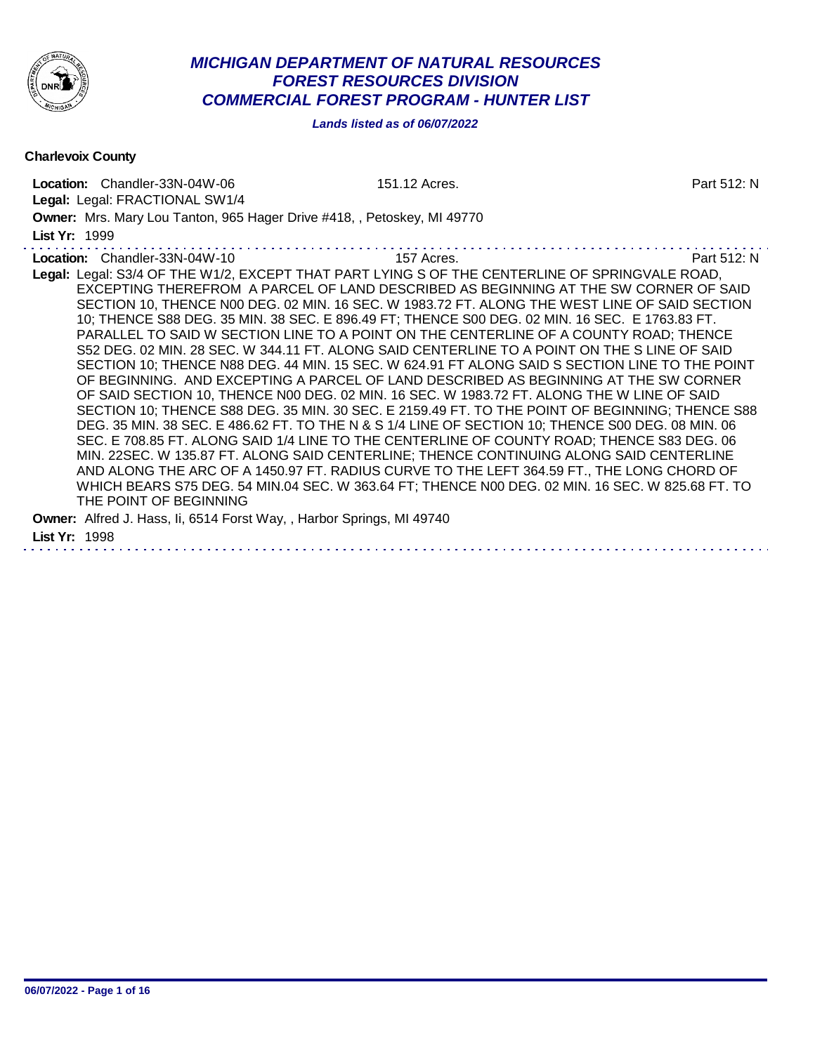

# *MICHIGAN DEPARTMENT OF NATURAL RESOURCES FOREST RESOURCES DIVISION COMMERCIAL FOREST PROGRAM - HUNTER LIST*

*Lands listed as of 06/07/2022*

Charlevoix County

Location: Chandler-33N-04W-06 151.12 Acres. Part 512: N Legal: Legal: FRACTIONAL SW1/4 Owner: Mrs. Mary Lou Tanton, 965 Hager Drive #418, , Petoskey, MI 49770 List Yr: 1999 Location: Chandler-33N-04W-10 157 Acres. 2008. Part 512: N Legal: Legal: S3/4 OF THE W1/2, EXCEPT THAT PART LYING S OF THE CENTERLINE OF SPRINGVALE ROAD, EXCEPTING THEREFROM A PARCEL OF LAND DESCRIBED AS BEGINNING AT THE SW CORNER OF SAID SECTION 10, THENCE N00 DEG. 02 MIN. 16 SEC. W 1983.72 FT. ALONG THE WEST LINE OF SAID SECTION 10; THENCE S88 DEG. 35 MIN. 38 SEC. E 896.49 FT; THENCE S00 DEG. 02 MIN. 16 SEC. E 1763.83 FT. PARALLEL TO SAID W SECTION LINE TO A POINT ON THE CENTERLINE OF A COUNTY ROAD; THENCE S52 DEG. 02 MIN. 28 SEC. W 344.11 FT. ALONG SAID CENTERLINE TO A POINT ON THE S LINE OF SAID SECTION 10; THENCE N88 DEG. 44 MIN. 15 SEC. W 624.91 FT ALONG SAID S SECTION LINE TO THE POINT OF BEGINNING. AND EXCEPTING A PARCEL OF LAND DESCRIBED AS BEGINNING AT THE SW CORNER OF SAID SECTION 10, THENCE N00 DEG. 02 MIN. 16 SEC. W 1983.72 FT. ALONG THE W LINE OF SAID SECTION 10; THENCE S88 DEG. 35 MIN. 30 SEC. E 2159.49 FT. TO THE POINT OF BEGINNING; THENCE S88 DEG. 35 MIN. 38 SEC. E 486.62 FT. TO THE N & S 1/4 LINE OF SECTION 10; THENCE S00 DEG. 08 MIN. 06 SEC. E 708.85 FT. ALONG SAID 1/4 LINE TO THE CENTERLINE OF COUNTY ROAD; THENCE S83 DEG. 06 MIN. 22SEC. W 135.87 FT. ALONG SAID CENTERLINE; THENCE CONTINUING ALONG SAID CENTERLINE AND ALONG THE ARC OF A 1450.97 FT. RADIUS CURVE TO THE LEFT 364.59 FT., THE LONG CHORD OF WHICH BEARS S75 DEG. 54 MIN.04 SEC. W 363.64 FT; THENCE N00 DEG. 02 MIN. 16 SEC. W 825.68 FT. TO THE POINT OF BEGINNING Owner: Alfred J. Hass, Ii, 6514 Forst Way, , Harbor Springs, MI 49740 List Yr: 1998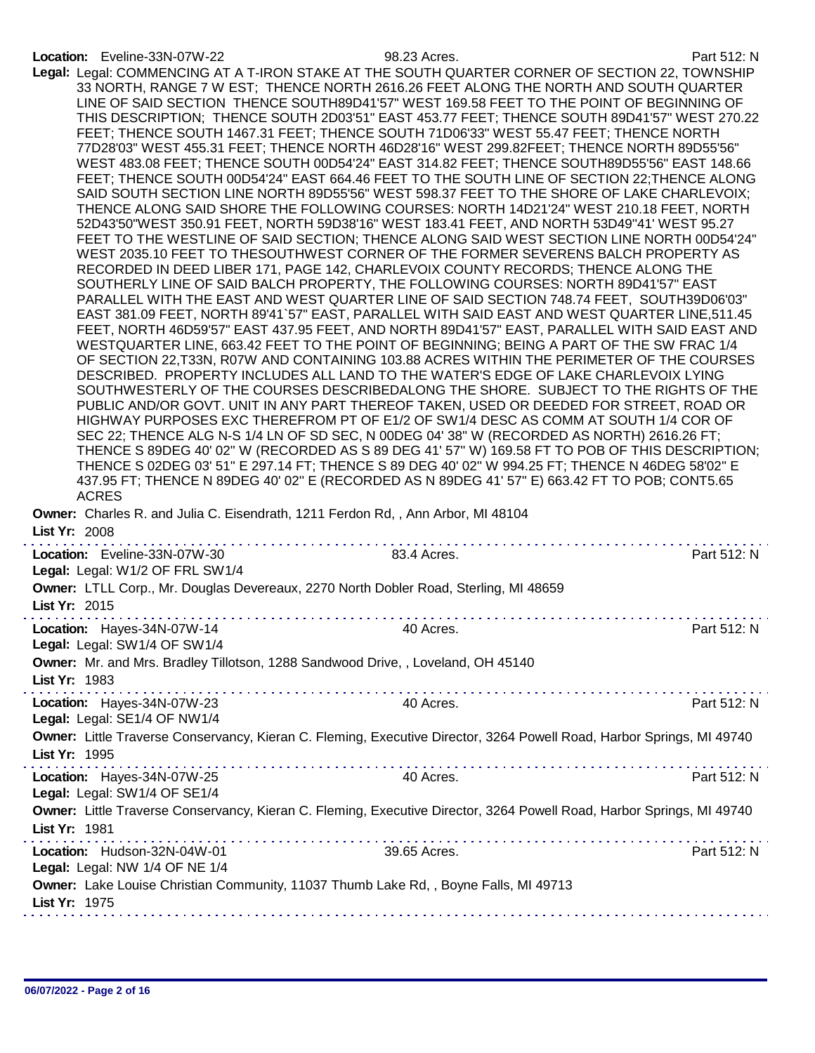## Location: Eveline-33N-07W-22 98.23 Acres. Part 512: N

| <b>ACRES</b>                                                                                     | 0.4010100<br>Legal: Legal: COMMENCING AT A T-IRON STAKE AT THE SOUTH QUARTER CORNER OF SECTION 22, TOWNSHIP<br>33 NORTH, RANGE 7 W EST; THENCE NORTH 2616.26 FEET ALONG THE NORTH AND SOUTH QUARTER<br>LINE OF SAID SECTION THENCE SOUTH89D41'57" WEST 169.58 FEET TO THE POINT OF BEGINNING OF<br>THIS DESCRIPTION; THENCE SOUTH 2D03'51" EAST 453.77 FEET; THENCE SOUTH 89D41'57" WEST 270.22<br>FEET; THENCE SOUTH 1467.31 FEET; THENCE SOUTH 71D06'33" WEST 55.47 FEET; THENCE NORTH<br>77D28'03" WEST 455.31 FEET; THENCE NORTH 46D28'16" WEST 299.82FEET; THENCE NORTH 89D55'56"<br>WEST 483.08 FEET; THENCE SOUTH 00D54'24" EAST 314.82 FEET; THENCE SOUTH89D55'56" EAST 148.66<br>FEET; THENCE SOUTH 00D54'24" EAST 664.46 FEET TO THE SOUTH LINE OF SECTION 22;THENCE ALONG<br>SAID SOUTH SECTION LINE NORTH 89D55'56" WEST 598.37 FEET TO THE SHORE OF LAKE CHARLEVOIX;<br>THENCE ALONG SAID SHORE THE FOLLOWING COURSES: NORTH 14D21'24" WEST 210.18 FEET, NORTH<br>52D43'50"WEST 350.91 FEET, NORTH 59D38'16" WEST 183.41 FEET, AND NORTH 53D49"41' WEST 95.27<br>FEET TO THE WESTLINE OF SAID SECTION; THENCE ALONG SAID WEST SECTION LINE NORTH 00D54'24"<br>WEST 2035.10 FEET TO THESOUTHWEST CORNER OF THE FORMER SEVERENS BALCH PROPERTY AS<br>RECORDED IN DEED LIBER 171, PAGE 142, CHARLEVOIX COUNTY RECORDS; THENCE ALONG THE<br>SOUTHERLY LINE OF SAID BALCH PROPERTY, THE FOLLOWING COURSES: NORTH 89D41'57" EAST<br>PARALLEL WITH THE EAST AND WEST QUARTER LINE OF SAID SECTION 748.74 FEET, SOUTH39D06'03"<br>EAST 381.09 FEET, NORTH 89'41`57" EAST, PARALLEL WITH SAID EAST AND WEST QUARTER LINE,511.45<br>FEET, NORTH 46D59'57" EAST 437.95 FEET, AND NORTH 89D41'57" EAST, PARALLEL WITH SAID EAST AND<br>WESTQUARTER LINE, 663.42 FEET TO THE POINT OF BEGINNING; BEING A PART OF THE SW FRAC 1/4<br>OF SECTION 22,T33N, R07W AND CONTAINING 103.88 ACRES WITHIN THE PERIMETER OF THE COURSES<br>DESCRIBED. PROPERTY INCLUDES ALL LAND TO THE WATER'S EDGE OF LAKE CHARLEVOIX LYING<br>SOUTHWESTERLY OF THE COURSES DESCRIBEDALONG THE SHORE. SUBJECT TO THE RIGHTS OF THE<br>PUBLIC AND/OR GOVT. UNIT IN ANY PART THEREOF TAKEN, USED OR DEEDED FOR STREET, ROAD OR<br>HIGHWAY PURPOSES EXC THEREFROM PT OF E1/2 OF SW1/4 DESC AS COMM AT SOUTH 1/4 COR OF<br>SEC 22; THENCE ALG N-S 1/4 LN OF SD SEC, N 00DEG 04' 38" W (RECORDED AS NORTH) 2616.26 FT;<br>THENCE S 89DEG 40' 02" W (RECORDED AS S 89 DEG 41' 57" W) 169.58 FT TO POB OF THIS DESCRIPTION;<br>THENCE S 02DEG 03' 51" E 297.14 FT; THENCE S 89 DEG 40' 02" W 994.25 FT; THENCE N 46DEG 58'02" E<br>437.95 FT; THENCE N 89DEG 40' 02" E (RECORDED AS N 89DEG 41' 57" E) 663.42 FT TO POB; CONT5.65 |             |
|--------------------------------------------------------------------------------------------------|---------------------------------------------------------------------------------------------------------------------------------------------------------------------------------------------------------------------------------------------------------------------------------------------------------------------------------------------------------------------------------------------------------------------------------------------------------------------------------------------------------------------------------------------------------------------------------------------------------------------------------------------------------------------------------------------------------------------------------------------------------------------------------------------------------------------------------------------------------------------------------------------------------------------------------------------------------------------------------------------------------------------------------------------------------------------------------------------------------------------------------------------------------------------------------------------------------------------------------------------------------------------------------------------------------------------------------------------------------------------------------------------------------------------------------------------------------------------------------------------------------------------------------------------------------------------------------------------------------------------------------------------------------------------------------------------------------------------------------------------------------------------------------------------------------------------------------------------------------------------------------------------------------------------------------------------------------------------------------------------------------------------------------------------------------------------------------------------------------------------------------------------------------------------------------------------------------------------------------------------------------------------------------------------------------------------------------------------------------------------------------------------------------------------------------------------------------------------------------------------------------------------------------------------------------------------------------------------------------------------------------------------------------------------------------------------------|-------------|
| Owner: Charles R. and Julia C. Eisendrath, 1211 Ferdon Rd,, Ann Arbor, MI 48104<br>List Yr: 2008 |                                                                                                                                                                                                                                                                                                                                                                                                                                                                                                                                                                                                                                                                                                                                                                                                                                                                                                                                                                                                                                                                                                                                                                                                                                                                                                                                                                                                                                                                                                                                                                                                                                                                                                                                                                                                                                                                                                                                                                                                                                                                                                                                                                                                                                                                                                                                                                                                                                                                                                                                                                                                                                                                                                   |             |
| Location: Eveline-33N-07W-30<br>Legal: Legal: W1/2 OF FRL SW1/4                                  | 83.4 Acres.                                                                                                                                                                                                                                                                                                                                                                                                                                                                                                                                                                                                                                                                                                                                                                                                                                                                                                                                                                                                                                                                                                                                                                                                                                                                                                                                                                                                                                                                                                                                                                                                                                                                                                                                                                                                                                                                                                                                                                                                                                                                                                                                                                                                                                                                                                                                                                                                                                                                                                                                                                                                                                                                                       | Part 512: N |
| List Yr: 2015                                                                                    | Owner: LTLL Corp., Mr. Douglas Devereaux, 2270 North Dobler Road, Sterling, MI 48659                                                                                                                                                                                                                                                                                                                                                                                                                                                                                                                                                                                                                                                                                                                                                                                                                                                                                                                                                                                                                                                                                                                                                                                                                                                                                                                                                                                                                                                                                                                                                                                                                                                                                                                                                                                                                                                                                                                                                                                                                                                                                                                                                                                                                                                                                                                                                                                                                                                                                                                                                                                                              |             |
| Location: Hayes-34N-07W-14<br>Legal: Legal: SW1/4 OF SW1/4                                       | 40 Acres.                                                                                                                                                                                                                                                                                                                                                                                                                                                                                                                                                                                                                                                                                                                                                                                                                                                                                                                                                                                                                                                                                                                                                                                                                                                                                                                                                                                                                                                                                                                                                                                                                                                                                                                                                                                                                                                                                                                                                                                                                                                                                                                                                                                                                                                                                                                                                                                                                                                                                                                                                                                                                                                                                         | Part 512: N |
| List Yr: 1983                                                                                    | Owner: Mr. and Mrs. Bradley Tillotson, 1288 Sandwood Drive, , Loveland, OH 45140                                                                                                                                                                                                                                                                                                                                                                                                                                                                                                                                                                                                                                                                                                                                                                                                                                                                                                                                                                                                                                                                                                                                                                                                                                                                                                                                                                                                                                                                                                                                                                                                                                                                                                                                                                                                                                                                                                                                                                                                                                                                                                                                                                                                                                                                                                                                                                                                                                                                                                                                                                                                                  |             |
| Location: Hayes-34N-07W-23<br>Legal: Legal: SE1/4 OF NW1/4                                       | .<br>40 Acres.                                                                                                                                                                                                                                                                                                                                                                                                                                                                                                                                                                                                                                                                                                                                                                                                                                                                                                                                                                                                                                                                                                                                                                                                                                                                                                                                                                                                                                                                                                                                                                                                                                                                                                                                                                                                                                                                                                                                                                                                                                                                                                                                                                                                                                                                                                                                                                                                                                                                                                                                                                                                                                                                                    | Part 512: N |
| List Yr: 1995                                                                                    | Owner: Little Traverse Conservancy, Kieran C. Fleming, Executive Director, 3264 Powell Road, Harbor Springs, MI 49740                                                                                                                                                                                                                                                                                                                                                                                                                                                                                                                                                                                                                                                                                                                                                                                                                                                                                                                                                                                                                                                                                                                                                                                                                                                                                                                                                                                                                                                                                                                                                                                                                                                                                                                                                                                                                                                                                                                                                                                                                                                                                                                                                                                                                                                                                                                                                                                                                                                                                                                                                                             |             |
| Location: Hayes-34N-07W-25<br>Legal: Legal: SW1/4 OF SE1/4                                       | 40 Acres.                                                                                                                                                                                                                                                                                                                                                                                                                                                                                                                                                                                                                                                                                                                                                                                                                                                                                                                                                                                                                                                                                                                                                                                                                                                                                                                                                                                                                                                                                                                                                                                                                                                                                                                                                                                                                                                                                                                                                                                                                                                                                                                                                                                                                                                                                                                                                                                                                                                                                                                                                                                                                                                                                         | Part 512: N |
| List Yr: 1981                                                                                    | Owner: Little Traverse Conservancy, Kieran C. Fleming, Executive Director, 3264 Powell Road, Harbor Springs, MI 49740                                                                                                                                                                                                                                                                                                                                                                                                                                                                                                                                                                                                                                                                                                                                                                                                                                                                                                                                                                                                                                                                                                                                                                                                                                                                                                                                                                                                                                                                                                                                                                                                                                                                                                                                                                                                                                                                                                                                                                                                                                                                                                                                                                                                                                                                                                                                                                                                                                                                                                                                                                             |             |
| Location: Hudson-32N-04W-01<br>Legal: Legal: NW 1/4 OF NE 1/4                                    | 39.65 Acres.                                                                                                                                                                                                                                                                                                                                                                                                                                                                                                                                                                                                                                                                                                                                                                                                                                                                                                                                                                                                                                                                                                                                                                                                                                                                                                                                                                                                                                                                                                                                                                                                                                                                                                                                                                                                                                                                                                                                                                                                                                                                                                                                                                                                                                                                                                                                                                                                                                                                                                                                                                                                                                                                                      | Part 512: N |
| List Yr: 1975                                                                                    | Owner: Lake Louise Christian Community, 11037 Thumb Lake Rd, , Boyne Falls, MI 49713                                                                                                                                                                                                                                                                                                                                                                                                                                                                                                                                                                                                                                                                                                                                                                                                                                                                                                                                                                                                                                                                                                                                                                                                                                                                                                                                                                                                                                                                                                                                                                                                                                                                                                                                                                                                                                                                                                                                                                                                                                                                                                                                                                                                                                                                                                                                                                                                                                                                                                                                                                                                              |             |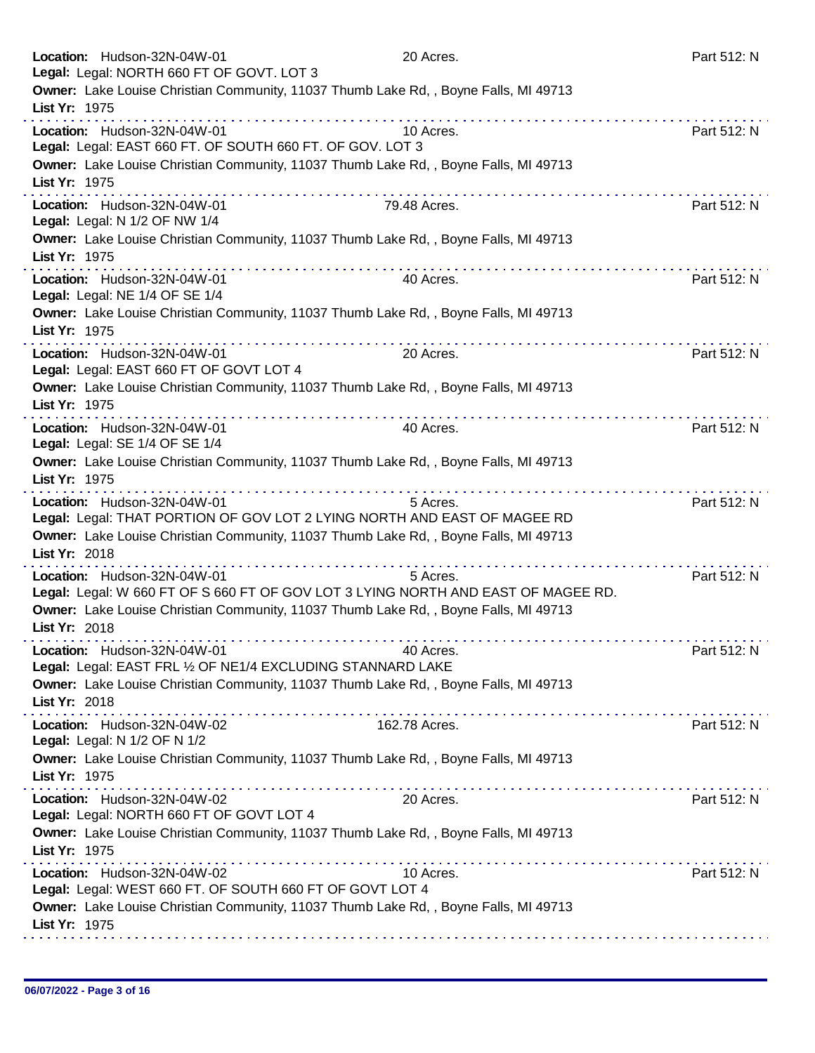| Location: Hudson-32N-04W-01<br>Legal: Legal: NORTH 660 FT OF GOVT. LOT 3                                                               | 20 Acres.     | Part 512: N |
|----------------------------------------------------------------------------------------------------------------------------------------|---------------|-------------|
| Owner: Lake Louise Christian Community, 11037 Thumb Lake Rd, , Boyne Falls, MI 49713<br>List Yr: 1975                                  |               |             |
| Location: Hudson-32N-04W-01<br>Legal: Legal: EAST 660 FT. OF SOUTH 660 FT. OF GOV. LOT 3                                               | 10 Acres.     | Part 512: N |
| Owner: Lake Louise Christian Community, 11037 Thumb Lake Rd, , Boyne Falls, MI 49713<br>List Yr: 1975                                  |               |             |
| Location: Hudson-32N-04W-01<br>Legal: Legal: N 1/2 OF NW 1/4                                                                           | 79.48 Acres.  | Part 512: N |
| Owner: Lake Louise Christian Community, 11037 Thumb Lake Rd, , Boyne Falls, MI 49713<br>List Yr: 1975                                  |               |             |
| Location: Hudson-32N-04W-01<br>Legal: Legal: NE 1/4 OF SE 1/4                                                                          | 40 Acres.     | Part 512: N |
| Owner: Lake Louise Christian Community, 11037 Thumb Lake Rd,, Boyne Falls, MI 49713<br>List Yr: 1975<br>a concern a concern and a con- |               |             |
| Location: Hudson-32N-04W-01<br>Legal: Legal: EAST 660 FT OF GOVT LOT 4                                                                 | 20 Acres.     | Part 512: N |
| Owner: Lake Louise Christian Community, 11037 Thumb Lake Rd, , Boyne Falls, MI 49713<br>List Yr: 1975                                  |               |             |
| Location: Hudson-32N-04W-01<br>Legal: Legal: SE 1/4 OF SE 1/4                                                                          | 40 Acres.     | Part 512: N |
| Owner: Lake Louise Christian Community, 11037 Thumb Lake Rd, , Boyne Falls, MI 49713<br>List Yr: 1975                                  |               |             |
| Location: Hudson-32N-04W-01<br>Legal: Legal: THAT PORTION OF GOV LOT 2 LYING NORTH AND EAST OF MAGEE RD                                | 5 Acres.      | Part 512: N |
| Owner: Lake Louise Christian Community, 11037 Thumb Lake Rd, , Boyne Falls, MI 49713<br>List Yr: 2018                                  |               |             |
| Location: Hudson-32N-04W-01<br>Legal: Legal: W 660 FT OF S 660 FT OF GOV LOT 3 LYING NORTH AND EAST OF MAGEE RD.                       | 5 Acres.      | Part 512: N |
| Owner: Lake Louise Christian Community, 11037 Thumb Lake Rd, , Boyne Falls, MI 49713<br>List Yr: 2018                                  |               |             |
| Location: Hudson-32N-04W-01<br>Legal: Legal: EAST FRL 1/2 OF NE1/4 EXCLUDING STANNARD LAKE                                             | 40 Acres.     | Part 512: N |
| Owner: Lake Louise Christian Community, 11037 Thumb Lake Rd, , Boyne Falls, MI 49713<br>List Yr: 2018                                  |               |             |
| Location: Hudson-32N-04W-02<br>Legal: Legal: N 1/2 OF N 1/2                                                                            | 162.78 Acres. | Part 512: N |
| Owner: Lake Louise Christian Community, 11037 Thumb Lake Rd, , Boyne Falls, MI 49713<br>List Yr: 1975                                  |               |             |
| Location: Hudson-32N-04W-02<br>Legal: Legal: NORTH 660 FT OF GOVT LOT 4                                                                | 20 Acres.     | Part 512: N |
| Owner: Lake Louise Christian Community, 11037 Thumb Lake Rd, , Boyne Falls, MI 49713<br>List Yr: 1975                                  |               |             |
| Location: Hudson-32N-04W-02<br>Legal: Legal: WEST 660 FT. OF SOUTH 660 FT OF GOVT LOT 4                                                | 10 Acres.     | Part 512: N |
| Owner: Lake Louise Christian Community, 11037 Thumb Lake Rd, , Boyne Falls, MI 49713<br>List Yr: 1975                                  |               |             |
|                                                                                                                                        |               |             |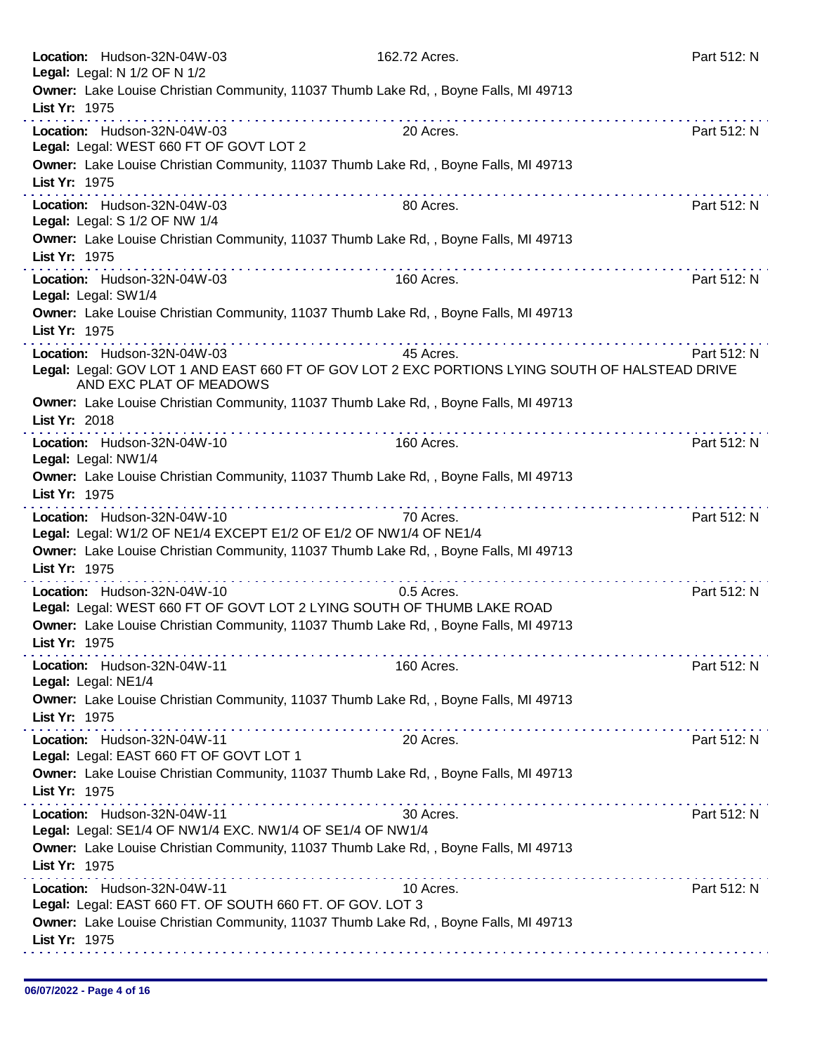|               | Location: Hudson-32N-04W-03<br>Legal: Legal: N 1/2 OF N 1/2                                      | 162.72 Acres.                                                                                                                                                                                                                                                                                                                                                                                                                                                                                                                                        | Part 512: N |
|---------------|--------------------------------------------------------------------------------------------------|------------------------------------------------------------------------------------------------------------------------------------------------------------------------------------------------------------------------------------------------------------------------------------------------------------------------------------------------------------------------------------------------------------------------------------------------------------------------------------------------------------------------------------------------------|-------------|
| List Yr: 1975 |                                                                                                  | Owner: Lake Louise Christian Community, 11037 Thumb Lake Rd, , Boyne Falls, MI 49713                                                                                                                                                                                                                                                                                                                                                                                                                                                                 |             |
|               | Location: Hudson-32N-04W-03<br>Legal: Legal: WEST 660 FT OF GOVT LOT 2                           | 20 Acres.                                                                                                                                                                                                                                                                                                                                                                                                                                                                                                                                            | Part 512: N |
| List Yr: 1975 |                                                                                                  | Owner: Lake Louise Christian Community, 11037 Thumb Lake Rd, , Boyne Falls, MI 49713                                                                                                                                                                                                                                                                                                                                                                                                                                                                 |             |
|               | Location: Hudson-32N-04W-03<br>Legal: Legal: S 1/2 OF NW 1/4                                     | 80 Acres.                                                                                                                                                                                                                                                                                                                                                                                                                                                                                                                                            | Part 512: N |
| List Yr: 1975 |                                                                                                  | Owner: Lake Louise Christian Community, 11037 Thumb Lake Rd, , Boyne Falls, MI 49713                                                                                                                                                                                                                                                                                                                                                                                                                                                                 |             |
|               | Location: Hudson-32N-04W-03<br>Legal: Legal: SW1/4                                               | 160 Acres.                                                                                                                                                                                                                                                                                                                                                                                                                                                                                                                                           | Part 512: N |
| List Yr: 1975 |                                                                                                  | Owner: Lake Louise Christian Community, 11037 Thumb Lake Rd,, Boyne Falls, MI 49713                                                                                                                                                                                                                                                                                                                                                                                                                                                                  |             |
|               | Location: Hudson-32N-04W-03<br>AND EXC PLAT OF MEADOWS                                           | 45 Acres.<br>Legal: Legal: GOV LOT 1 AND EAST 660 FT OF GOV LOT 2 EXC PORTIONS LYING SOUTH OF HALSTEAD DRIVE                                                                                                                                                                                                                                                                                                                                                                                                                                         | Part 512: N |
| List Yr: 2018 |                                                                                                  | Owner: Lake Louise Christian Community, 11037 Thumb Lake Rd, , Boyne Falls, MI 49713                                                                                                                                                                                                                                                                                                                                                                                                                                                                 |             |
|               | Location: Hudson-32N-04W-10<br>Legal: Legal: NW1/4                                               | 160 Acres.                                                                                                                                                                                                                                                                                                                                                                                                                                                                                                                                           | Part 512: N |
| List Yr: 1975 |                                                                                                  | Owner: Lake Louise Christian Community, 11037 Thumb Lake Rd, , Boyne Falls, MI 49713                                                                                                                                                                                                                                                                                                                                                                                                                                                                 |             |
|               | Location: Hudson-32N-04W-10<br>Legal: Legal: W1/2 OF NE1/4 EXCEPT E1/2 OF E1/2 OF NW1/4 OF NE1/4 | 70 Acres.                                                                                                                                                                                                                                                                                                                                                                                                                                                                                                                                            | Part 512: N |
| List Yr: 1975 |                                                                                                  | Owner: Lake Louise Christian Community, 11037 Thumb Lake Rd,, Boyne Falls, MI 49713                                                                                                                                                                                                                                                                                                                                                                                                                                                                  |             |
|               | Location: Hudson-32N-04W-10                                                                      | 0.5 Acres.<br>Legal: Legal: WEST 660 FT OF GOVT LOT 2 LYING SOUTH OF THUMB LAKE ROAD<br>Owner: Lake Louise Christian Community, 11037 Thumb Lake Rd,, Boyne Falls, MI 49713                                                                                                                                                                                                                                                                                                                                                                          | Part 512: N |
| List Yr: 1975 |                                                                                                  | . <b>.</b>                                                                                                                                                                                                                                                                                                                                                                                                                                                                                                                                           |             |
|               | Location: Hudson-32N-04W-11<br>Legal: Legal: NE1/4                                               | 160 Acres.                                                                                                                                                                                                                                                                                                                                                                                                                                                                                                                                           | Part 512: N |
| List Yr: 1975 |                                                                                                  | Owner: Lake Louise Christian Community, 11037 Thumb Lake Rd, , Boyne Falls, MI 49713<br>$\mathcal{L}^{\mathcal{A}}(\mathcal{A},\mathcal{A},\mathcal{A},\mathcal{A},\mathcal{A},\mathcal{A},\mathcal{A},\mathcal{A},\mathcal{A},\mathcal{A},\mathcal{A},\mathcal{A},\mathcal{A},\mathcal{A},\mathcal{A},\mathcal{A},\mathcal{A},\mathcal{A},\mathcal{A},\mathcal{A},\mathcal{A},\mathcal{A},\mathcal{A},\mathcal{A},\mathcal{A},\mathcal{A},\mathcal{A},\mathcal{A},\mathcal{A},\mathcal{A},\mathcal{A},\mathcal{A},\mathcal{A},\mathcal{A},\mathcal$ |             |
|               | Location: Hudson-32N-04W-11<br>Legal: Legal: EAST 660 FT OF GOVT LOT 1                           | 20 Acres.                                                                                                                                                                                                                                                                                                                                                                                                                                                                                                                                            | Part 512: N |
| List Yr: 1975 |                                                                                                  | Owner: Lake Louise Christian Community, 11037 Thumb Lake Rd, , Boyne Falls, MI 49713                                                                                                                                                                                                                                                                                                                                                                                                                                                                 |             |
|               | Location: Hudson-32N-04W-11<br>Legal: Legal: SE1/4 OF NW1/4 EXC. NW1/4 OF SE1/4 OF NW1/4         | 30 Acres.                                                                                                                                                                                                                                                                                                                                                                                                                                                                                                                                            | Part 512: N |
| List Yr: 1975 |                                                                                                  | Owner: Lake Louise Christian Community, 11037 Thumb Lake Rd, , Boyne Falls, MI 49713                                                                                                                                                                                                                                                                                                                                                                                                                                                                 |             |
|               | Location: Hudson-32N-04W-11<br>Legal: Legal: EAST 660 FT. OF SOUTH 660 FT. OF GOV. LOT 3         | 10 Acres.                                                                                                                                                                                                                                                                                                                                                                                                                                                                                                                                            | Part 512: N |
| List Yr: 1975 |                                                                                                  | Owner: Lake Louise Christian Community, 11037 Thumb Lake Rd,, Boyne Falls, MI 49713                                                                                                                                                                                                                                                                                                                                                                                                                                                                  |             |
|               |                                                                                                  |                                                                                                                                                                                                                                                                                                                                                                                                                                                                                                                                                      |             |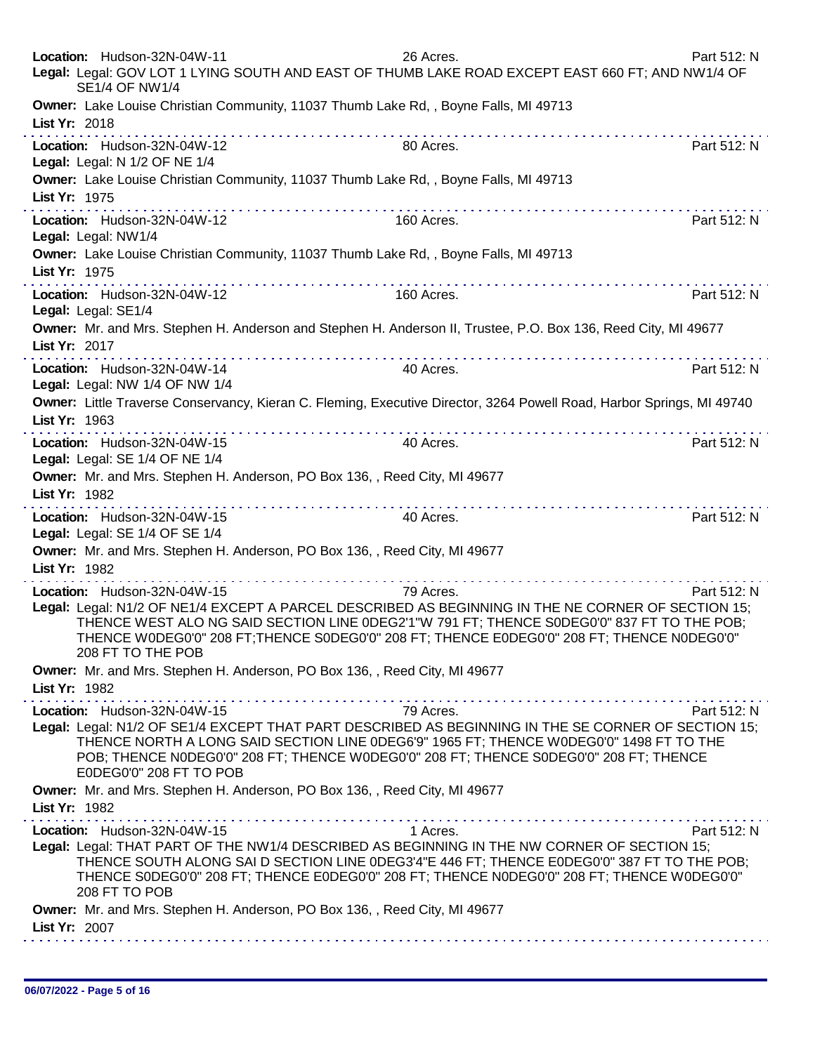|               | Location: Hudson-32N-04W-11<br><b>SE1/4 OF NW1/4</b>                                                                                        | 26 Acres.<br>Legal: Legal: GOV LOT 1 LYING SOUTH AND EAST OF THUMB LAKE ROAD EXCEPT EAST 660 FT; AND NW1/4 OF                                                                                                                                                                                               | Part 512: N |
|---------------|---------------------------------------------------------------------------------------------------------------------------------------------|-------------------------------------------------------------------------------------------------------------------------------------------------------------------------------------------------------------------------------------------------------------------------------------------------------------|-------------|
| List Yr: 2018 |                                                                                                                                             | Owner: Lake Louise Christian Community, 11037 Thumb Lake Rd,, Boyne Falls, MI 49713                                                                                                                                                                                                                         |             |
|               | Location: Hudson-32N-04W-12<br>Legal: Legal: N 1/2 OF NE 1/4                                                                                | 80 Acres.                                                                                                                                                                                                                                                                                                   | Part 512: N |
| List Yr: 1975 |                                                                                                                                             | Owner: Lake Louise Christian Community, 11037 Thumb Lake Rd, , Boyne Falls, MI 49713                                                                                                                                                                                                                        |             |
|               | Location: Hudson-32N-04W-12<br>Legal: Legal: NW1/4                                                                                          | 160 Acres.                                                                                                                                                                                                                                                                                                  | Part 512: N |
| List Yr: 1975 |                                                                                                                                             | Owner: Lake Louise Christian Community, 11037 Thumb Lake Rd, , Boyne Falls, MI 49713                                                                                                                                                                                                                        |             |
|               | Location: Hudson-32N-04W-12<br>Legal: Legal: SE1/4                                                                                          | 160 Acres.                                                                                                                                                                                                                                                                                                  | Part 512: N |
| List Yr: 2017 |                                                                                                                                             | Owner: Mr. and Mrs. Stephen H. Anderson and Stephen H. Anderson II, Trustee, P.O. Box 136, Reed City, MI 49677<br>.                                                                                                                                                                                         |             |
|               | Location: Hudson-32N-04W-14<br>Legal: Legal: NW 1/4 OF NW 1/4                                                                               | 40 Acres.<br>Owner: Little Traverse Conservancy, Kieran C. Fleming, Executive Director, 3264 Powell Road, Harbor Springs, MI 49740                                                                                                                                                                          | Part 512: N |
| List Yr: 1963 |                                                                                                                                             |                                                                                                                                                                                                                                                                                                             |             |
|               | Location: Hudson-32N-04W-15<br>Legal: Legal: SE 1/4 OF NE 1/4<br>Owner: Mr. and Mrs. Stephen H. Anderson, PO Box 136, , Reed City, MI 49677 | 40 Acres.                                                                                                                                                                                                                                                                                                   | Part 512: N |
| List Yr: 1982 |                                                                                                                                             |                                                                                                                                                                                                                                                                                                             |             |
|               | Location: Hudson-32N-04W-15<br>Legal: Legal: SE 1/4 OF SE 1/4<br>Owner: Mr. and Mrs. Stephen H. Anderson, PO Box 136, , Reed City, MI 49677 | 40 Acres.                                                                                                                                                                                                                                                                                                   | Part 512: N |
| List Yr: 1982 |                                                                                                                                             |                                                                                                                                                                                                                                                                                                             |             |
|               | Location: Hudson-32N-04W-15<br>208 FT TO THE POB                                                                                            | 79 Acres.<br>Legal: Legal: N1/2 OF NE1/4 EXCEPT A PARCEL DESCRIBED AS BEGINNING IN THE NE CORNER OF SECTION 15;<br>THENCE WEST ALO NG SAID SECTION LINE 0DEG2'1"W 791 FT; THENCE S0DEG0'0" 837 FT TO THE POB;<br>THENCE W0DEG0'0" 208 FT;THENCE S0DEG0'0" 208 FT; THENCE E0DEG0'0" 208 FT; THENCE N0DEG0'0" | Part 512: N |
| List Yr: 1982 | Owner: Mr. and Mrs. Stephen H. Anderson, PO Box 136, , Reed City, MI 49677                                                                  | .                                                                                                                                                                                                                                                                                                           |             |
|               | Location: Hudson-32N-04W-15<br>E0DEG0'0" 208 FT TO POB                                                                                      | 79 Acres.<br>Legal: Legal: N1/2 OF SE1/4 EXCEPT THAT PART DESCRIBED AS BEGINNING IN THE SE CORNER OF SECTION 15;<br>THENCE NORTH A LONG SAID SECTION LINE 0DEG6'9" 1965 FT; THENCE W0DEG0'0" 1498 FT TO THE<br>POB; THENCE NODEGO'0" 208 FT; THENCE WODEGO'0" 208 FT; THENCE SODEGO'0" 208 FT; THENCE       | Part 512: N |
| List Yr: 1982 | Owner: Mr. and Mrs. Stephen H. Anderson, PO Box 136, , Reed City, MI 49677                                                                  |                                                                                                                                                                                                                                                                                                             |             |
|               | Location: Hudson-32N-04W-15<br>208 FT TO POB                                                                                                | 1 Acres.<br>Legal: Legal: THAT PART OF THE NW1/4 DESCRIBED AS BEGINNING IN THE NW CORNER OF SECTION 15;<br>THENCE SOUTH ALONG SAI D SECTION LINE 0DEG3'4"E 446 FT; THENCE E0DEG0'0" 387 FT TO THE POB;<br>THENCE SODEG0'0" 208 FT; THENCE EODEG0'0" 208 FT; THENCE NODEG0'0" 208 FT; THENCE WODEG0'0"       | Part 512: N |
| List Yr: 2007 | Owner: Mr. and Mrs. Stephen H. Anderson, PO Box 136, , Reed City, MI 49677                                                                  |                                                                                                                                                                                                                                                                                                             |             |
|               |                                                                                                                                             |                                                                                                                                                                                                                                                                                                             |             |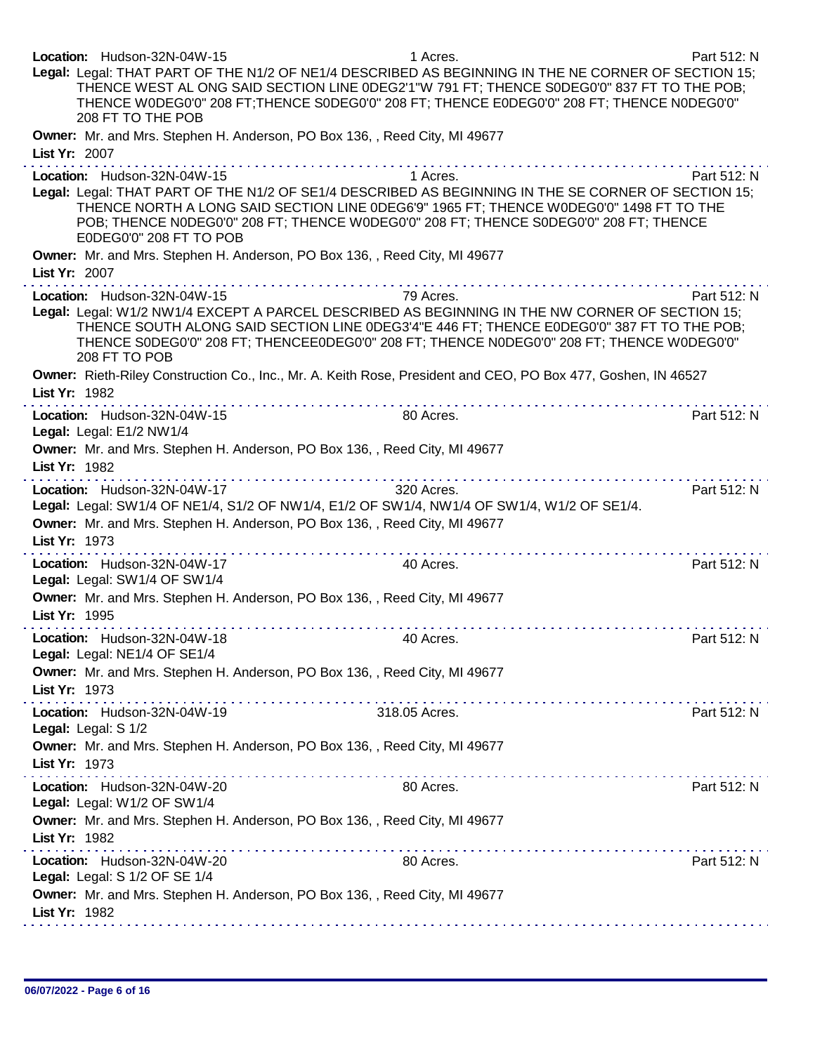| Location: Hudson-32N-04W-15<br>Legal: Legal: THAT PART OF THE N1/2 OF NE1/4 DESCRIBED AS BEGINNING IN THE NE CORNER OF SECTION 15;<br>208 FT TO THE POB                                                                  | 1 Acres.<br>THENCE WEST AL ONG SAID SECTION LINE 0DEG2'1"W 791 FT; THENCE S0DEG0'0" 837 FT TO THE POB;<br>THENCE WODEG0'0" 208 FT; THENCE SODEG0'0" 208 FT; THENCE EODEG0'0" 208 FT; THENCE NODEG0'0" | Part 512: N |
|--------------------------------------------------------------------------------------------------------------------------------------------------------------------------------------------------------------------------|-------------------------------------------------------------------------------------------------------------------------------------------------------------------------------------------------------|-------------|
| Owner: Mr. and Mrs. Stephen H. Anderson, PO Box 136, , Reed City, MI 49677<br>List Yr: 2007                                                                                                                              |                                                                                                                                                                                                       |             |
| Location: Hudson-32N-04W-15<br>Legal: Legal: THAT PART OF THE N1/2 OF SE1/4 DESCRIBED AS BEGINNING IN THE SE CORNER OF SECTION 15;<br>E0DEG0'0" 208 FT TO POB                                                            | 1 Acres.<br>THENCE NORTH A LONG SAID SECTION LINE 0DEG6'9" 1965 FT; THENCE W0DEG0'0" 1498 FT TO THE<br>POB; THENCE NODEG0'0" 208 FT; THENCE WODEG0'0" 208 FT; THENCE SODEG0'0" 208 FT; THENCE         | Part 512: N |
| Owner: Mr. and Mrs. Stephen H. Anderson, PO Box 136, , Reed City, MI 49677<br>List Yr: 2007                                                                                                                              |                                                                                                                                                                                                       |             |
| Location: Hudson-32N-04W-15<br>Legal: Legal: W1/2 NW1/4 EXCEPT A PARCEL DESCRIBED AS BEGINNING IN THE NW CORNER OF SECTION 15;<br>208 FT TO POB                                                                          | 79 Acres.<br>THENCE SOUTH ALONG SAID SECTION LINE 0DEG3'4"E 446 FT; THENCE E0DEG0'0" 387 FT TO THE POB;<br>THENCE SODEGO'0" 208 FT; THENCEEODEGO'0" 208 FT; THENCE NODEGO'0" 208 FT; THENCE WODEGO'0" | Part 512: N |
| Owner: Rieth-Riley Construction Co., Inc., Mr. A. Keith Rose, President and CEO, PO Box 477, Goshen, IN 46527<br>List Yr: 1982                                                                                           |                                                                                                                                                                                                       |             |
| Location: Hudson-32N-04W-15<br>Legal: Legal: E1/2 NW1/4                                                                                                                                                                  | 80 Acres.                                                                                                                                                                                             | Part 512: N |
| Owner: Mr. and Mrs. Stephen H. Anderson, PO Box 136, , Reed City, MI 49677<br>List Yr: 1982                                                                                                                              |                                                                                                                                                                                                       |             |
| Location: Hudson-32N-04W-17<br>Legal: Legal: SW1/4 OF NE1/4, S1/2 OF NW1/4, E1/2 OF SW1/4, NW1/4 OF SW1/4, W1/2 OF SE1/4.<br>Owner: Mr. and Mrs. Stephen H. Anderson, PO Box 136, , Reed City, MI 49677<br>List Yr: 1973 | 320 Acres.                                                                                                                                                                                            | Part 512: N |
| Location: Hudson-32N-04W-17<br>Legal: Legal: SW1/4 OF SW1/4                                                                                                                                                              | 40 Acres.                                                                                                                                                                                             | Part 512: N |
| Owner: Mr. and Mrs. Stephen H. Anderson, PO Box 136, , Reed City, MI 49677<br>List Yr: 1995                                                                                                                              |                                                                                                                                                                                                       |             |
| Location: Hudson-32N-04W-18<br>Legal: Legal: NE1/4 OF SE1/4                                                                                                                                                              | 40 Acres.                                                                                                                                                                                             | Part 512: N |
| Owner: Mr. and Mrs. Stephen H. Anderson, PO Box 136, , Reed City, MI 49677<br>List Yr: 1973                                                                                                                              |                                                                                                                                                                                                       |             |
| Location: Hudson-32N-04W-19<br>Legal: Legal: S 1/2                                                                                                                                                                       | 318.05 Acres.                                                                                                                                                                                         | Part 512: N |
| Owner: Mr. and Mrs. Stephen H. Anderson, PO Box 136, , Reed City, MI 49677<br>List Yr: 1973                                                                                                                              |                                                                                                                                                                                                       |             |
| Location: Hudson-32N-04W-20<br>Legal: Legal: W1/2 OF SW1/4                                                                                                                                                               | 80 Acres.                                                                                                                                                                                             | Part 512: N |
| Owner: Mr. and Mrs. Stephen H. Anderson, PO Box 136, , Reed City, MI 49677<br>List Yr: 1982                                                                                                                              |                                                                                                                                                                                                       |             |
| Location: Hudson-32N-04W-20<br>Legal: Legal: S 1/2 OF SE 1/4                                                                                                                                                             | 80 Acres.                                                                                                                                                                                             | Part 512: N |
| Owner: Mr. and Mrs. Stephen H. Anderson, PO Box 136, , Reed City, MI 49677<br>List Yr: 1982                                                                                                                              |                                                                                                                                                                                                       |             |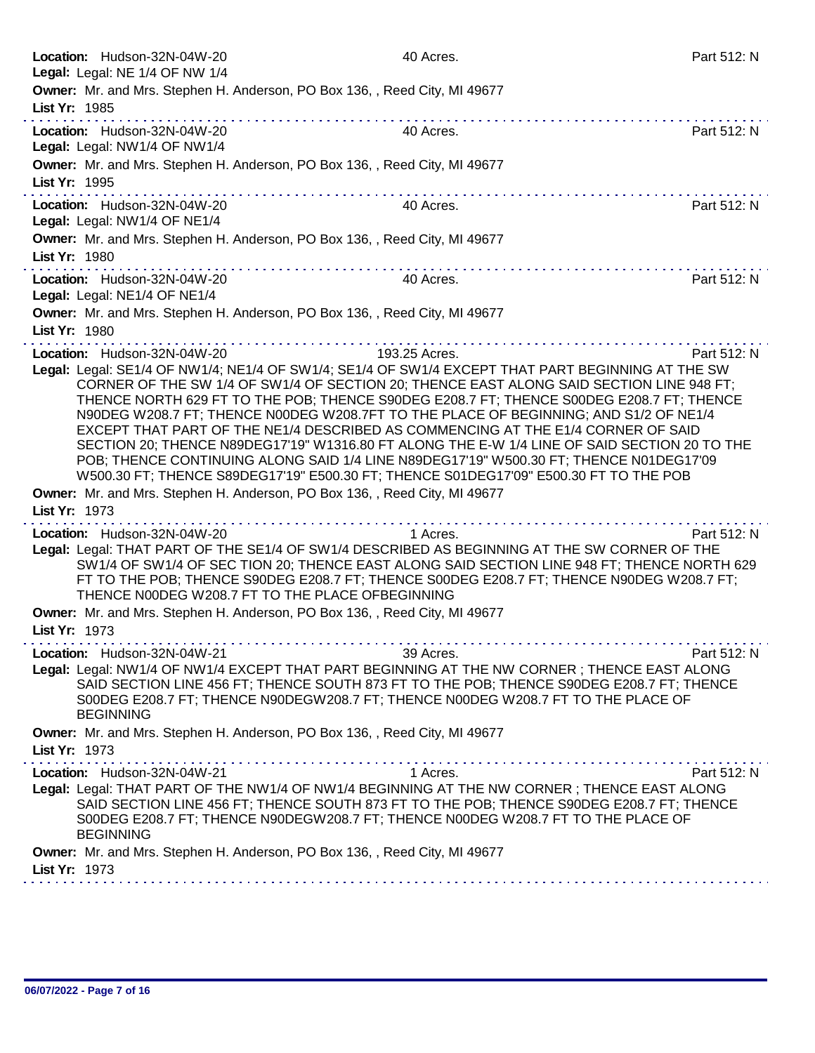| Location: Hudson-32N-04W-20                                                                                                                                                                                                                                                                                                                                                                                                                                                                                                                                                                                                                                      | 40 Acres.                                               | Part 512: N |
|------------------------------------------------------------------------------------------------------------------------------------------------------------------------------------------------------------------------------------------------------------------------------------------------------------------------------------------------------------------------------------------------------------------------------------------------------------------------------------------------------------------------------------------------------------------------------------------------------------------------------------------------------------------|---------------------------------------------------------|-------------|
| Legal: Legal: NE 1/4 OF NW 1/4<br>Owner: Mr. and Mrs. Stephen H. Anderson, PO Box 136, , Reed City, MI 49677<br>List Yr: 1985                                                                                                                                                                                                                                                                                                                                                                                                                                                                                                                                    |                                                         |             |
| Location: Hudson-32N-04W-20<br>Legal: Legal: NW1/4 OF NW1/4                                                                                                                                                                                                                                                                                                                                                                                                                                                                                                                                                                                                      | 40 Acres.                                               | Part 512: N |
| Owner: Mr. and Mrs. Stephen H. Anderson, PO Box 136, , Reed City, MI 49677<br>List Yr: 1995                                                                                                                                                                                                                                                                                                                                                                                                                                                                                                                                                                      | <u> Linda de la caractería de la caractería de la c</u> |             |
| Location: Hudson-32N-04W-20<br>Legal: Legal: NW1/4 OF NE1/4                                                                                                                                                                                                                                                                                                                                                                                                                                                                                                                                                                                                      | 40 Acres.                                               | Part 512: N |
| Owner: Mr. and Mrs. Stephen H. Anderson, PO Box 136, , Reed City, MI 49677<br>List Yr: 1980                                                                                                                                                                                                                                                                                                                                                                                                                                                                                                                                                                      |                                                         |             |
| Location: Hudson-32N-04W-20<br>Legal: Legal: NE1/4 OF NE1/4                                                                                                                                                                                                                                                                                                                                                                                                                                                                                                                                                                                                      | 40 Acres.                                               | Part 512: N |
| Owner: Mr. and Mrs. Stephen H. Anderson, PO Box 136, , Reed City, MI 49677                                                                                                                                                                                                                                                                                                                                                                                                                                                                                                                                                                                       |                                                         |             |
| List Yr: 1980                                                                                                                                                                                                                                                                                                                                                                                                                                                                                                                                                                                                                                                    |                                                         |             |
| Location: Hudson-32N-04W-20                                                                                                                                                                                                                                                                                                                                                                                                                                                                                                                                                                                                                                      | 193.25 Acres.                                           | Part 512: N |
| Legal: Legal: SE1/4 OF NW1/4; NE1/4 OF SW1/4; SE1/4 OF SW1/4 EXCEPT THAT PART BEGINNING AT THE SW<br>CORNER OF THE SW 1/4 OF SW1/4 OF SECTION 20; THENCE EAST ALONG SAID SECTION LINE 948 FT;<br>THENCE NORTH 629 FT TO THE POB; THENCE S90DEG E208.7 FT; THENCE S00DEG E208.7 FT; THENCE<br>N90DEG W208.7 FT; THENCE N00DEG W208.7FT TO THE PLACE OF BEGINNING; AND S1/2 OF NE1/4<br>EXCEPT THAT PART OF THE NE1/4 DESCRIBED AS COMMENCING AT THE E1/4 CORNER OF SAID<br>SECTION 20; THENCE N89DEG17'19" W1316.80 FT ALONG THE E-W 1/4 LINE OF SAID SECTION 20 TO THE<br>POB; THENCE CONTINUING ALONG SAID 1/4 LINE N89DEG17'19" W500.30 FT; THENCE N01DEG17'09 |                                                         |             |
| W500.30 FT; THENCE S89DEG17'19" E500.30 FT; THENCE S01DEG17'09" E500.30 FT TO THE POB                                                                                                                                                                                                                                                                                                                                                                                                                                                                                                                                                                            |                                                         |             |
| Owner: Mr. and Mrs. Stephen H. Anderson, PO Box 136, , Reed City, MI 49677                                                                                                                                                                                                                                                                                                                                                                                                                                                                                                                                                                                       |                                                         |             |
| List Yr: 1973                                                                                                                                                                                                                                                                                                                                                                                                                                                                                                                                                                                                                                                    |                                                         |             |
| Location: Hudson-32N-04W-20                                                                                                                                                                                                                                                                                                                                                                                                                                                                                                                                                                                                                                      | 1 Acres.                                                | Part 512: N |
| Legal: Legal: THAT PART OF THE SE1/4 OF SW1/4 DESCRIBED AS BEGINNING AT THE SW CORNER OF THE<br>SW1/4 OF SW1/4 OF SEC TION 20; THENCE EAST ALONG SAID SECTION LINE 948 FT; THENCE NORTH 629<br>FT TO THE POB; THENCE S90DEG E208.7 FT; THENCE S00DEG E208.7 FT; THENCE N90DEG W208.7 FT;<br>THENCE N00DEG W208.7 FT TO THE PLACE OFBEGINNING                                                                                                                                                                                                                                                                                                                     |                                                         |             |
| Owner: Mr. and Mrs. Stephen H. Anderson, PO Box 136, , Reed City, MI 49677                                                                                                                                                                                                                                                                                                                                                                                                                                                                                                                                                                                       |                                                         |             |
| List Yr: 1973                                                                                                                                                                                                                                                                                                                                                                                                                                                                                                                                                                                                                                                    |                                                         |             |
| Location: Hudson-32N-04W-21                                                                                                                                                                                                                                                                                                                                                                                                                                                                                                                                                                                                                                      | 39 Acres.                                               | Part 512: N |
| Legal: Legal: NW1/4 OF NW1/4 EXCEPT THAT PART BEGINNING AT THE NW CORNER; THENCE EAST ALONG<br>SAID SECTION LINE 456 FT; THENCE SOUTH 873 FT TO THE POB; THENCE S90DEG E208.7 FT; THENCE<br>S00DEG E208.7 FT; THENCE N90DEGW208.7 FT; THENCE N00DEG W208.7 FT TO THE PLACE OF<br><b>BEGINNING</b>                                                                                                                                                                                                                                                                                                                                                                |                                                         |             |
| Owner: Mr. and Mrs. Stephen H. Anderson, PO Box 136, , Reed City, MI 49677                                                                                                                                                                                                                                                                                                                                                                                                                                                                                                                                                                                       |                                                         |             |
| List Yr: 1973                                                                                                                                                                                                                                                                                                                                                                                                                                                                                                                                                                                                                                                    |                                                         |             |
| Location: Hudson-32N-04W-21                                                                                                                                                                                                                                                                                                                                                                                                                                                                                                                                                                                                                                      | 1 Acres.                                                | Part 512: N |
| Legal: Legal: THAT PART OF THE NW1/4 OF NW1/4 BEGINNING AT THE NW CORNER; THENCE EAST ALONG<br>SAID SECTION LINE 456 FT; THENCE SOUTH 873 FT TO THE POB; THENCE S90DEG E208.7 FT; THENCE<br>S00DEG E208.7 FT; THENCE N90DEGW208.7 FT; THENCE N00DEG W208.7 FT TO THE PLACE OF<br><b>BEGINNING</b>                                                                                                                                                                                                                                                                                                                                                                |                                                         |             |
| Owner: Mr. and Mrs. Stephen H. Anderson, PO Box 136, , Reed City, MI 49677                                                                                                                                                                                                                                                                                                                                                                                                                                                                                                                                                                                       |                                                         |             |
| List Yr: 1973                                                                                                                                                                                                                                                                                                                                                                                                                                                                                                                                                                                                                                                    |                                                         |             |
|                                                                                                                                                                                                                                                                                                                                                                                                                                                                                                                                                                                                                                                                  |                                                         |             |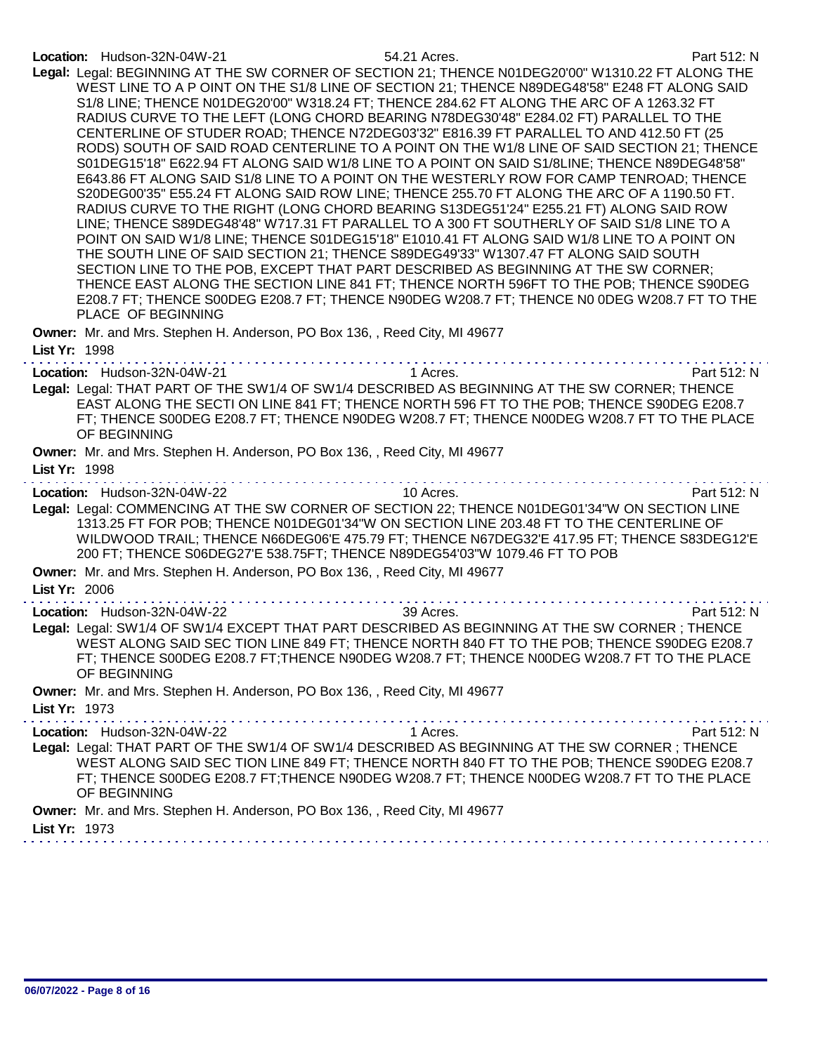### Location: Hudson-32N-04W-21 54.21 Acres. Part 512: N

| Legal: Legal: BEGINNING AT THE SW CORNER OF SECTION 21; THENCE N01DEG20'00" W1310.22 FT ALONG THE<br>WEST LINE TO A P OINT ON THE S1/8 LINE OF SECTION 21; THENCE N89DEG48'58" E248 FT ALONG SAID<br>S1/8 LINE; THENCE N01DEG20'00" W318.24 FT; THENCE 284.62 FT ALONG THE ARC OF A 1263.32 FT<br>RADIUS CURVE TO THE LEFT (LONG CHORD BEARING N78DEG30'48" E284.02 FT) PARALLEL TO THE<br>CENTERLINE OF STUDER ROAD; THENCE N72DEG03'32" E816.39 FT PARALLEL TO AND 412.50 FT (25<br>RODS) SOUTH OF SAID ROAD CENTERLINE TO A POINT ON THE W1/8 LINE OF SAID SECTION 21; THENCE<br>S01DEG15'18" E622.94 FT ALONG SAID W1/8 LINE TO A POINT ON SAID S1/8LINE; THENCE N89DEG48'58"<br>E643.86 FT ALONG SAID S1/8 LINE TO A POINT ON THE WESTERLY ROW FOR CAMP TENROAD; THENCE<br>S20DEG00'35" E55.24 FT ALONG SAID ROW LINE; THENCE 255.70 FT ALONG THE ARC OF A 1190.50 FT.<br>RADIUS CURVE TO THE RIGHT (LONG CHORD BEARING S13DEG51'24" E255.21 FT) ALONG SAID ROW<br>LINE; THENCE S89DEG48'48" W717.31 FT PARALLEL TO A 300 FT SOUTHERLY OF SAID S1/8 LINE TO A<br>POINT ON SAID W1/8 LINE; THENCE S01DEG15'18" E1010.41 FT ALONG SAID W1/8 LINE TO A POINT ON<br>THE SOUTH LINE OF SAID SECTION 21; THENCE S89DEG49'33" W1307.47 FT ALONG SAID SOUTH<br>SECTION LINE TO THE POB, EXCEPT THAT PART DESCRIBED AS BEGINNING AT THE SW CORNER;<br>THENCE EAST ALONG THE SECTION LINE 841 FT; THENCE NORTH 596FT TO THE POB; THENCE S90DEG<br>E208.7 FT; THENCE S00DEG E208.7 FT; THENCE N90DEG W208.7 FT; THENCE N0 0DEG W208.7 FT TO THE<br>PLACE OF BEGINNING |
|-----------------------------------------------------------------------------------------------------------------------------------------------------------------------------------------------------------------------------------------------------------------------------------------------------------------------------------------------------------------------------------------------------------------------------------------------------------------------------------------------------------------------------------------------------------------------------------------------------------------------------------------------------------------------------------------------------------------------------------------------------------------------------------------------------------------------------------------------------------------------------------------------------------------------------------------------------------------------------------------------------------------------------------------------------------------------------------------------------------------------------------------------------------------------------------------------------------------------------------------------------------------------------------------------------------------------------------------------------------------------------------------------------------------------------------------------------------------------------------------------------------------------------------------------------------------|
| Owner: Mr. and Mrs. Stephen H. Anderson, PO Box 136, , Reed City, MI 49677<br>List Yr: 1998                                                                                                                                                                                                                                                                                                                                                                                                                                                                                                                                                                                                                                                                                                                                                                                                                                                                                                                                                                                                                                                                                                                                                                                                                                                                                                                                                                                                                                                                     |
| 1 Acres.<br>Part 512: N<br>Location: Hudson-32N-04W-21<br>Legal: Legal: THAT PART OF THE SW1/4 OF SW1/4 DESCRIBED AS BEGINNING AT THE SW CORNER; THENCE<br>EAST ALONG THE SECTI ON LINE 841 FT; THENCE NORTH 596 FT TO THE POB; THENCE S90DEG E208.7<br>FT; THENCE S00DEG E208.7 FT; THENCE N90DEG W208.7 FT; THENCE N00DEG W208.7 FT TO THE PLACE<br>OF BEGINNING                                                                                                                                                                                                                                                                                                                                                                                                                                                                                                                                                                                                                                                                                                                                                                                                                                                                                                                                                                                                                                                                                                                                                                                              |
| Owner: Mr. and Mrs. Stephen H. Anderson, PO Box 136, , Reed City, MI 49677<br>List Yr: 1998                                                                                                                                                                                                                                                                                                                                                                                                                                                                                                                                                                                                                                                                                                                                                                                                                                                                                                                                                                                                                                                                                                                                                                                                                                                                                                                                                                                                                                                                     |
| 10 Acres.<br>Part 512: N<br>Location: Hudson-32N-04W-22<br>Legal: Legal: COMMENCING AT THE SW CORNER OF SECTION 22; THENCE N01DEG01'34"W ON SECTION LINE<br>1313.25 FT FOR POB; THENCE N01DEG01'34"W ON SECTION LINE 203.48 FT TO THE CENTERLINE OF<br>WILDWOOD TRAIL; THENCE N66DEG06'E 475.79 FT; THENCE N67DEG32'E 417.95 FT; THENCE S83DEG12'E                                                                                                                                                                                                                                                                                                                                                                                                                                                                                                                                                                                                                                                                                                                                                                                                                                                                                                                                                                                                                                                                                                                                                                                                              |
| 200 FT; THENCE S06DEG27'E 538.75FT; THENCE N89DEG54'03"W 1079.46 FT TO POB<br>Owner: Mr. and Mrs. Stephen H. Anderson, PO Box 136, , Reed City, MI 49677<br>List Yr: 2006                                                                                                                                                                                                                                                                                                                                                                                                                                                                                                                                                                                                                                                                                                                                                                                                                                                                                                                                                                                                                                                                                                                                                                                                                                                                                                                                                                                       |
| 39 Acres.<br>Location: Hudson-32N-04W-22<br>Part 512: N<br>Legal: Legal: SW1/4 OF SW1/4 EXCEPT THAT PART DESCRIBED AS BEGINNING AT THE SW CORNER; THENCE<br>WEST ALONG SAID SEC TION LINE 849 FT; THENCE NORTH 840 FT TO THE POB; THENCE S90DEG E208.7<br>FT; THENCE S00DEG E208.7 FT; THENCE N90DEG W208.7 FT; THENCE N00DEG W208.7 FT TO THE PLACE<br>OF BEGINNING                                                                                                                                                                                                                                                                                                                                                                                                                                                                                                                                                                                                                                                                                                                                                                                                                                                                                                                                                                                                                                                                                                                                                                                            |
| Owner: Mr. and Mrs. Stephen H. Anderson, PO Box 136, , Reed City, MI 49677<br>List Yr: 1973                                                                                                                                                                                                                                                                                                                                                                                                                                                                                                                                                                                                                                                                                                                                                                                                                                                                                                                                                                                                                                                                                                                                                                                                                                                                                                                                                                                                                                                                     |
| 1 Acres.<br>Part 512: N<br>Location: Hudson-32N-04W-22<br>Legal: Legal: THAT PART OF THE SW1/4 OF SW1/4 DESCRIBED AS BEGINNING AT THE SW CORNER; THENCE<br>WEST ALONG SAID SEC TION LINE 849 FT; THENCE NORTH 840 FT TO THE POB; THENCE S90DEG E208.7<br>FT; THENCE S00DEG E208.7 FT; THENCE N90DEG W208.7 FT; THENCE N00DEG W208.7 FT TO THE PLACE<br>OF BEGINNING                                                                                                                                                                                                                                                                                                                                                                                                                                                                                                                                                                                                                                                                                                                                                                                                                                                                                                                                                                                                                                                                                                                                                                                             |
| Owner: Mr. and Mrs. Stephen H. Anderson, PO Box 136, , Reed City, MI 49677<br>List Yr: 1973                                                                                                                                                                                                                                                                                                                                                                                                                                                                                                                                                                                                                                                                                                                                                                                                                                                                                                                                                                                                                                                                                                                                                                                                                                                                                                                                                                                                                                                                     |
|                                                                                                                                                                                                                                                                                                                                                                                                                                                                                                                                                                                                                                                                                                                                                                                                                                                                                                                                                                                                                                                                                                                                                                                                                                                                                                                                                                                                                                                                                                                                                                 |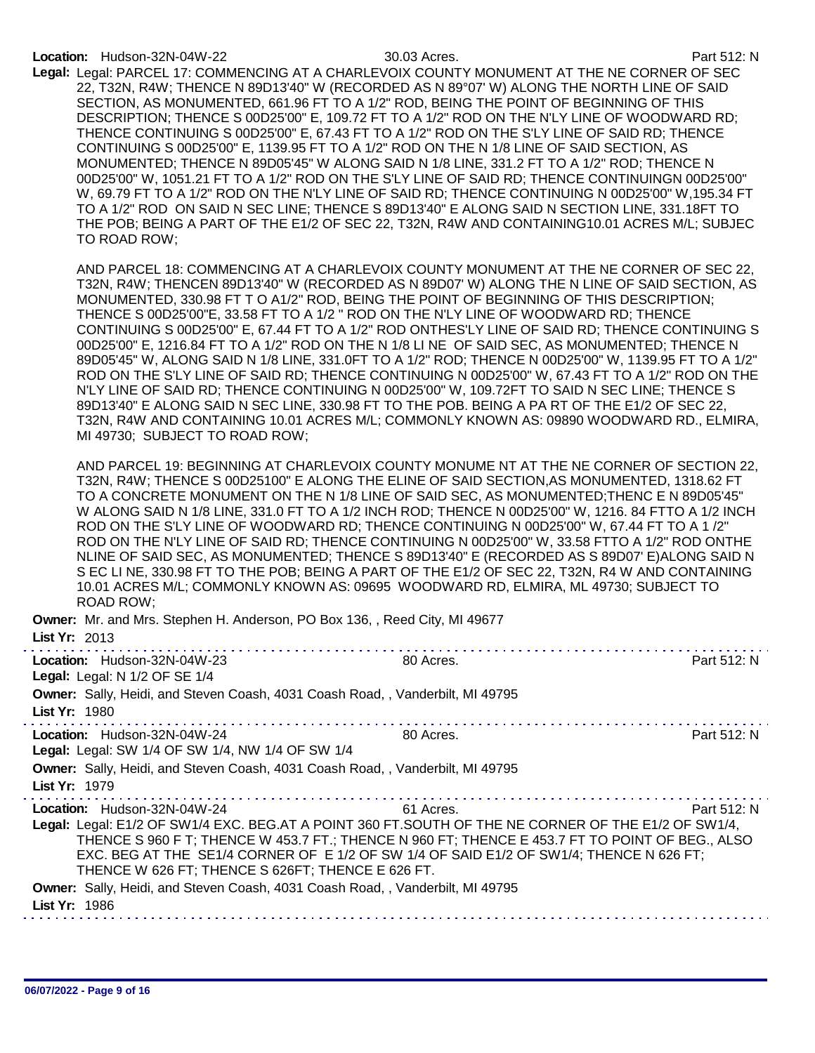Legal: Legal: PARCEL 17: COMMENCING AT A CHARLEVOIX COUNTY MONUMENT AT THE NE CORNER OF SEC 22, T32N, R4W; THENCE N 89D13'40" W (RECORDED AS N 89°07' W) ALONG THE NORTH LINE OF SAID SECTION, AS MONUMENTED, 661.96 FT TO A 1/2" ROD, BEING THE POINT OF BEGINNING OF THIS DESCRIPTION; THENCE S 00D25'00" E, 109.72 FT TO A 1/2" ROD ON THE N'LY LINE OF WOODWARD RD; THENCE CONTINUING S 00D25'00" E, 67.43 FT TO A 1/2" ROD ON THE S'LY LINE OF SAID RD; THENCE CONTINUING S 00D25'00" E, 1139.95 FT TO A 1/2" ROD ON THE N 1/8 LINE OF SAID SECTION, AS MONUMENTED; THENCE N 89D05'45" W ALONG SAID N 1/8 LINE, 331.2 FT TO A 1/2" ROD; THENCE N 00D25'00" W, 1051.21 FT TO A 1/2" ROD ON THE S'LY LINE OF SAID RD; THENCE CONTINUINGN 00D25'00" W, 69.79 FT TO A 1/2" ROD ON THE N'LY LINE OF SAID RD; THENCE CONTINUING N 00D25'00" W,195.34 FT TO A 1/2" ROD ON SAID N SEC LINE; THENCE S 89D13'40" E ALONG SAID N SECTION LINE, 331.18FT TO THE POB; BEING A PART OF THE E1/2 OF SEC 22, T32N, R4W AND CONTAINING10.01 ACRES M/L; SUBJEC TO ROAD ROW;

AND PARCEL 18: COMMENCING AT A CHARLEVOIX COUNTY MONUMENT AT THE NE CORNER OF SEC 22, T32N, R4W; THENCEN 89D13'40" W (RECORDED AS N 89D07' W) ALONG THE N LINE OF SAID SECTION, AS MONUMENTED, 330.98 FT T O A1/2" ROD, BEING THE POINT OF BEGINNING OF THIS DESCRIPTION; THENCE S 00D25'00"E, 33.58 FT TO A 1/2 " ROD ON THE N'LY LINE OF WOODWARD RD; THENCE CONTINUING S 00D25'00" E, 67.44 FT TO A 1/2" ROD ONTHES'LY LINE OF SAID RD; THENCE CONTINUING S 00D25'00" E, 1216.84 FT TO A 1/2" ROD ON THE N 1/8 LI NE OF SAID SEC, AS MONUMENTED; THENCE N 89D05'45" W, ALONG SAID N 1/8 LINE, 331.0FT TO A 1/2" ROD; THENCE N 00D25'00" W, 1139.95 FT TO A 1/2" ROD ON THE S'LY LINE OF SAID RD; THENCE CONTINUING N 00D25'00" W, 67.43 FT TO A 1/2" ROD ON THE N'LY LINE OF SAID RD; THENCE CONTINUING N 00D25'00" W, 109.72FT TO SAID N SEC LINE; THENCE S 89D13'40" E ALONG SAID N SEC LINE, 330.98 FT TO THE POB. BEING A PA RT OF THE E1/2 OF SEC 22, T32N, R4W AND CONTAINING 10.01 ACRES M/L; COMMONLY KNOWN AS: 09890 WOODWARD RD., ELMIRA, MI 49730; SUBJECT TO ROAD ROW;

AND PARCEL 19: BEGINNING AT CHARLEVOIX COUNTY MONUME NT AT THE NE CORNER OF SECTION 22, T32N, R4W; THENCE S 00D25100" E ALONG THE ELINE OF SAID SECTION,AS MONUMENTED, 1318.62 FT TO A CONCRETE MONUMENT ON THE N 1/8 LINE OF SAID SEC, AS MONUMENTED;THENC E N 89D05'45" W ALONG SAID N 1/8 LINE, 331.0 FT TO A 1/2 INCH ROD; THENCE N 00D25'00" W, 1216. 84 FTTO A 1/2 INCH ROD ON THE S'LY LINE OF WOODWARD RD; THENCE CONTINUING N 00D25'00" W, 67.44 FT TO A 1 /2" ROD ON THE N'LY LINE OF SAID RD; THENCE CONTINUING N 00D25'00" W, 33.58 FTTO A 1/2" ROD ONTHE NLINE OF SAID SEC, AS MONUMENTED; THENCE S 89D13'40" E (RECORDED AS S 89D07' E)ALONG SAID N S EC LI NE, 330.98 FT TO THE POB; BEING A PART OF THE E1/2 OF SEC 22, T32N, R4 W AND CONTAINING 10.01 ACRES M/L; COMMONLY KNOWN AS: 09695 WOODWARD RD, ELMIRA, ML 49730; SUBJECT TO ROAD ROW;

| 80 Acres. | Part 512: N                                                                                                                                                                                                                                                                                                                                                                                                                                                                                                                                                                                                                                                                             |
|-----------|-----------------------------------------------------------------------------------------------------------------------------------------------------------------------------------------------------------------------------------------------------------------------------------------------------------------------------------------------------------------------------------------------------------------------------------------------------------------------------------------------------------------------------------------------------------------------------------------------------------------------------------------------------------------------------------------|
|           |                                                                                                                                                                                                                                                                                                                                                                                                                                                                                                                                                                                                                                                                                         |
| 80 Acres. | Part 512: N                                                                                                                                                                                                                                                                                                                                                                                                                                                                                                                                                                                                                                                                             |
|           |                                                                                                                                                                                                                                                                                                                                                                                                                                                                                                                                                                                                                                                                                         |
| 61 Acres. | Part 512: N                                                                                                                                                                                                                                                                                                                                                                                                                                                                                                                                                                                                                                                                             |
|           |                                                                                                                                                                                                                                                                                                                                                                                                                                                                                                                                                                                                                                                                                         |
|           |                                                                                                                                                                                                                                                                                                                                                                                                                                                                                                                                                                                                                                                                                         |
|           |                                                                                                                                                                                                                                                                                                                                                                                                                                                                                                                                                                                                                                                                                         |
|           |                                                                                                                                                                                                                                                                                                                                                                                                                                                                                                                                                                                                                                                                                         |
|           |                                                                                                                                                                                                                                                                                                                                                                                                                                                                                                                                                                                                                                                                                         |
|           | Owner: Mr. and Mrs. Stephen H. Anderson, PO Box 136, , Reed City, MI 49677<br>Owner: Sally, Heidi, and Steven Coash, 4031 Coash Road,, Vanderbilt, MI 49795<br>Owner: Sally, Heidi, and Steven Coash, 4031 Coash Road,, Vanderbilt, MI 49795<br>Legal: Legal: E1/2 OF SW1/4 EXC. BEG.AT A POINT 360 FT.SOUTH OF THE NE CORNER OF THE E1/2 OF SW1/4,<br>THENCE S 960 F T; THENCE W 453.7 FT.; THENCE N 960 FT; THENCE E 453.7 FT TO POINT OF BEG., ALSO<br>EXC. BEG AT THE SE1/4 CORNER OF E 1/2 OF SW 1/4 OF SAID E1/2 OF SW1/4; THENCE N 626 FT;<br>THENCE W 626 FT; THENCE S 626FT; THENCE E 626 FT.<br>Owner: Sally, Heidi, and Steven Coash, 4031 Coash Road,, Vanderbilt, MI 49795 |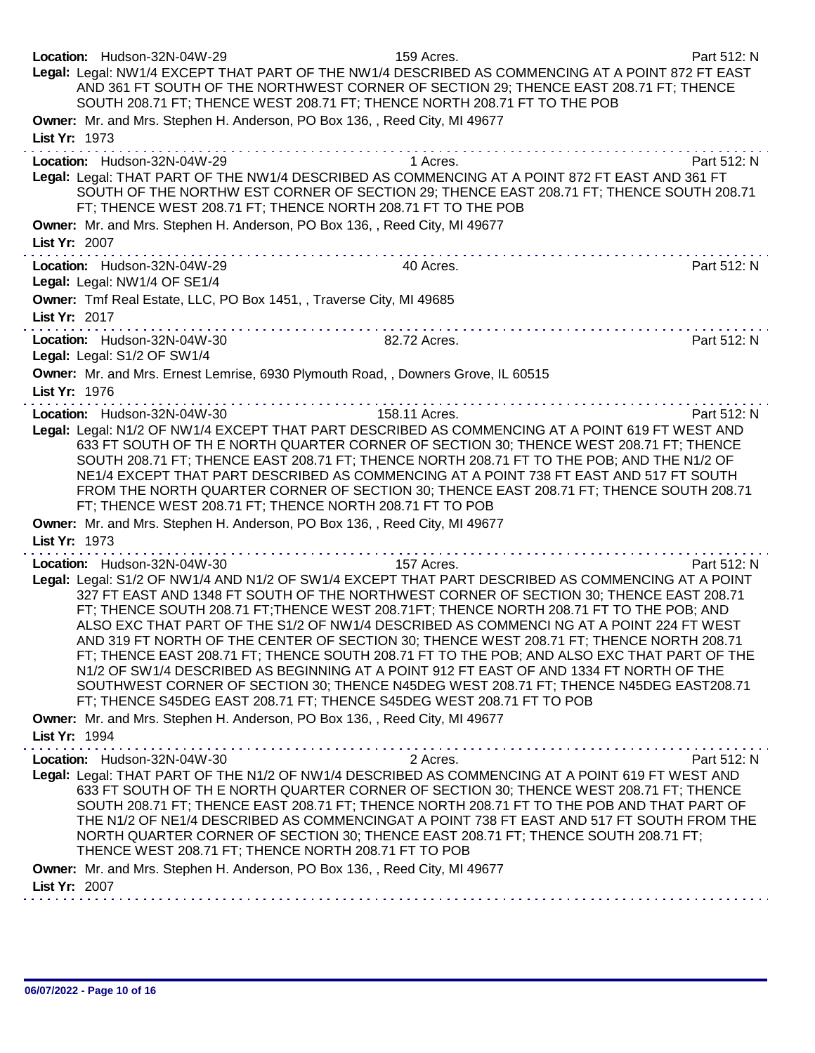| Location: Hudson-32N-04W-29<br>Legal: Legal: NW1/4 EXCEPT THAT PART OF THE NW1/4 DESCRIBED AS COMMENCING AT A POINT 872 FT EAST<br>SOUTH 208.71 FT; THENCE WEST 208.71 FT; THENCE NORTH 208.71 FT TO THE POB                                                                          | 159 Acres.<br>AND 361 FT SOUTH OF THE NORTHWEST CORNER OF SECTION 29; THENCE EAST 208.71 FT; THENCE                                                                                                                                                                                                                                                                                                                                                                                                                                                                                                                                                                          | Part 512: N |
|---------------------------------------------------------------------------------------------------------------------------------------------------------------------------------------------------------------------------------------------------------------------------------------|------------------------------------------------------------------------------------------------------------------------------------------------------------------------------------------------------------------------------------------------------------------------------------------------------------------------------------------------------------------------------------------------------------------------------------------------------------------------------------------------------------------------------------------------------------------------------------------------------------------------------------------------------------------------------|-------------|
| Owner: Mr. and Mrs. Stephen H. Anderson, PO Box 136, , Reed City, MI 49677<br>List Yr: 1973                                                                                                                                                                                           |                                                                                                                                                                                                                                                                                                                                                                                                                                                                                                                                                                                                                                                                              |             |
| Location: Hudson-32N-04W-29<br>Legal: Legal: THAT PART OF THE NW1/4 DESCRIBED AS COMMENCING AT A POINT 872 FT EAST AND 361 FT<br>FT; THENCE WEST 208.71 FT; THENCE NORTH 208.71 FT TO THE POB<br>Owner: Mr. and Mrs. Stephen H. Anderson, PO Box 136, , Reed City, MI 49677           | 1 Acres.<br>SOUTH OF THE NORTHW EST CORNER OF SECTION 29; THENCE EAST 208.71 FT; THENCE SOUTH 208.71                                                                                                                                                                                                                                                                                                                                                                                                                                                                                                                                                                         | Part 512: N |
| List Yr: 2007                                                                                                                                                                                                                                                                         |                                                                                                                                                                                                                                                                                                                                                                                                                                                                                                                                                                                                                                                                              |             |
| Location: Hudson-32N-04W-29<br>Legal: Legal: NW1/4 OF SE1/4                                                                                                                                                                                                                           | 40 Acres.                                                                                                                                                                                                                                                                                                                                                                                                                                                                                                                                                                                                                                                                    | Part 512: N |
| Owner: Tmf Real Estate, LLC, PO Box 1451, , Traverse City, MI 49685<br>List Yr: 2017                                                                                                                                                                                                  |                                                                                                                                                                                                                                                                                                                                                                                                                                                                                                                                                                                                                                                                              |             |
| Location: Hudson-32N-04W-30<br>Legal: Legal: S1/2 OF SW1/4                                                                                                                                                                                                                            | 82.72 Acres.                                                                                                                                                                                                                                                                                                                                                                                                                                                                                                                                                                                                                                                                 | Part 512: N |
| Owner: Mr. and Mrs. Ernest Lemrise, 6930 Plymouth Road, , Downers Grove, IL 60515<br>List Yr: 1976                                                                                                                                                                                    |                                                                                                                                                                                                                                                                                                                                                                                                                                                                                                                                                                                                                                                                              |             |
| Location: Hudson-32N-04W-30<br>Legal: Legal: N1/2 OF NW1/4 EXCEPT THAT PART DESCRIBED AS COMMENCING AT A POINT 619 FT WEST AND<br>FT; THENCE WEST 208.71 FT; THENCE NORTH 208.71 FT TO POB                                                                                            | .<br>158.11 Acres.<br>633 FT SOUTH OF TH E NORTH QUARTER CORNER OF SECTION 30; THENCE WEST 208.71 FT; THENCE<br>SOUTH 208.71 FT; THENCE EAST 208.71 FT; THENCE NORTH 208.71 FT TO THE POB; AND THE N1/2 OF<br>NE1/4 EXCEPT THAT PART DESCRIBED AS COMMENCING AT A POINT 738 FT EAST AND 517 FT SOUTH<br>FROM THE NORTH QUARTER CORNER OF SECTION 30; THENCE EAST 208.71 FT; THENCE SOUTH 208.71                                                                                                                                                                                                                                                                              | Part 512: N |
| Owner: Mr. and Mrs. Stephen H. Anderson, PO Box 136, , Reed City, MI 49677<br>List Yr: 1973                                                                                                                                                                                           |                                                                                                                                                                                                                                                                                                                                                                                                                                                                                                                                                                                                                                                                              |             |
| Location: Hudson-32N-04W-30<br>Legal: Legal: S1/2 OF NW1/4 AND N1/2 OF SW1/4 EXCEPT THAT PART DESCRIBED AS COMMENCING AT A POINT<br>FT; THENCE S45DEG EAST 208.71 FT; THENCE S45DEG WEST 208.71 FT TO POB                                                                             | 157 Acres.<br>327 FT EAST AND 1348 FT SOUTH OF THE NORTHWEST CORNER OF SECTION 30; THENCE EAST 208.71<br>FT; THENCE SOUTH 208.71 FT; THENCE WEST 208.71FT; THENCE NORTH 208.71 FT TO THE POB; AND<br>ALSO EXC THAT PART OF THE S1/2 OF NW1/4 DESCRIBED AS COMMENCI NG AT A POINT 224 FT WEST<br>AND 319 FT NORTH OF THE CENTER OF SECTION 30; THENCE WEST 208.71 FT; THENCE NORTH 208.71<br>FT; THENCE EAST 208.71 FT; THENCE SOUTH 208.71 FT TO THE POB; AND ALSO EXC THAT PART OF THE<br>N1/2 OF SW1/4 DESCRIBED AS BEGINNING AT A POINT 912 FT EAST OF AND 1334 FT NORTH OF THE<br>SOUTHWEST CORNER OF SECTION 30; THENCE N45DEG WEST 208.71 FT; THENCE N45DEG EAST208.71 | Part 512: N |
| Owner: Mr. and Mrs. Stephen H. Anderson, PO Box 136, , Reed City, MI 49677<br>List Yr: 1994                                                                                                                                                                                           |                                                                                                                                                                                                                                                                                                                                                                                                                                                                                                                                                                                                                                                                              |             |
| Location: Hudson-32N-04W-30<br>Legal: Legal: THAT PART OF THE N1/2 OF NW1/4 DESCRIBED AS COMMENCING AT A POINT 619 FT WEST AND<br>THENCE WEST 208.71 FT; THENCE NORTH 208.71 FT TO POB<br>Owner: Mr. and Mrs. Stephen H. Anderson, PO Box 136, , Reed City, MI 49677<br>List Yr: 2007 | 2 Acres.<br>633 FT SOUTH OF TH E NORTH QUARTER CORNER OF SECTION 30; THENCE WEST 208.71 FT; THENCE<br>SOUTH 208.71 FT; THENCE EAST 208.71 FT; THENCE NORTH 208.71 FT TO THE POB AND THAT PART OF<br>THE N1/2 OF NE1/4 DESCRIBED AS COMMENCINGAT A POINT 738 FT EAST AND 517 FT SOUTH FROM THE<br>NORTH QUARTER CORNER OF SECTION 30; THENCE EAST 208.71 FT; THENCE SOUTH 208.71 FT;                                                                                                                                                                                                                                                                                          | Part 512: N |
|                                                                                                                                                                                                                                                                                       |                                                                                                                                                                                                                                                                                                                                                                                                                                                                                                                                                                                                                                                                              |             |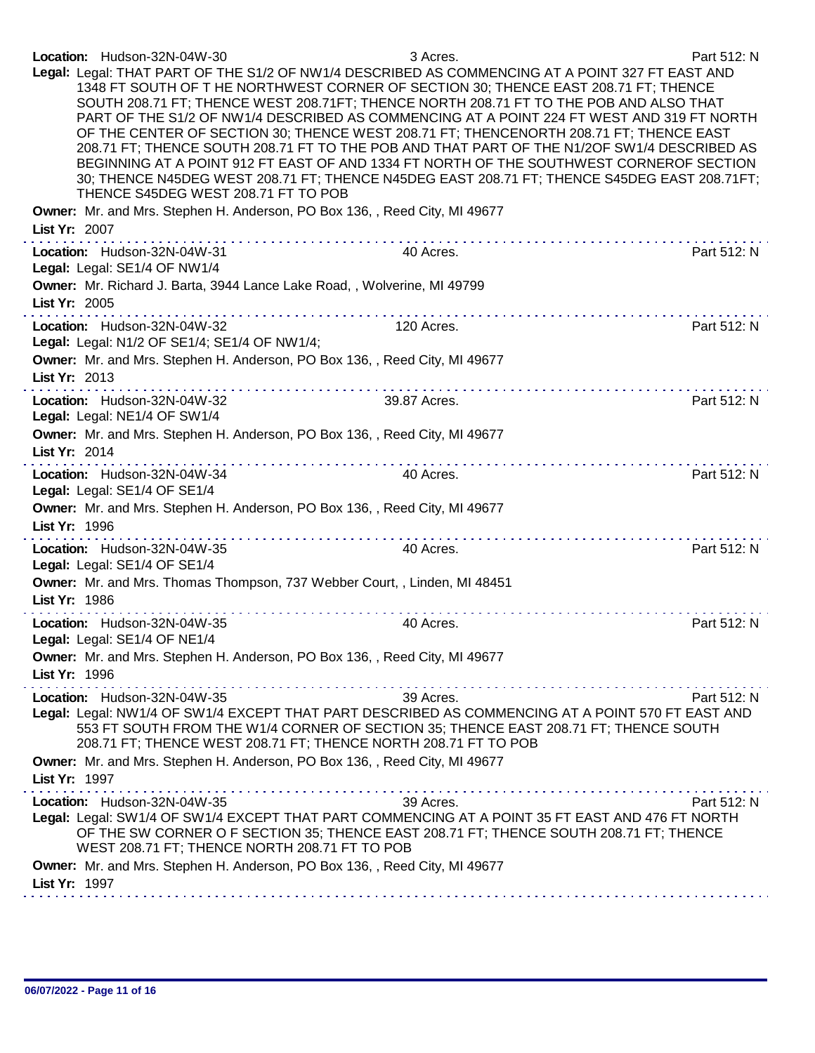|               | Location: Hudson-32N-04W-30                                                | 3 Acres.                                                                                                                                                                                                                                                                                                                                                                                                                                                                                          | Part 512: N |
|---------------|----------------------------------------------------------------------------|---------------------------------------------------------------------------------------------------------------------------------------------------------------------------------------------------------------------------------------------------------------------------------------------------------------------------------------------------------------------------------------------------------------------------------------------------------------------------------------------------|-------------|
|               |                                                                            | Legal: Legal: THAT PART OF THE S1/2 OF NW1/4 DESCRIBED AS COMMENCING AT A POINT 327 FT EAST AND                                                                                                                                                                                                                                                                                                                                                                                                   |             |
|               |                                                                            | 1348 FT SOUTH OF T HE NORTHWEST CORNER OF SECTION 30; THENCE EAST 208.71 FT; THENCE                                                                                                                                                                                                                                                                                                                                                                                                               |             |
|               |                                                                            | SOUTH 208.71 FT; THENCE WEST 208.71FT; THENCE NORTH 208.71 FT TO THE POB AND ALSO THAT                                                                                                                                                                                                                                                                                                                                                                                                            |             |
|               |                                                                            | PART OF THE S1/2 OF NW1/4 DESCRIBED AS COMMENCING AT A POINT 224 FT WEST AND 319 FT NORTH                                                                                                                                                                                                                                                                                                                                                                                                         |             |
|               |                                                                            | OF THE CENTER OF SECTION 30; THENCE WEST 208.71 FT; THENCENORTH 208.71 FT; THENCE EAST                                                                                                                                                                                                                                                                                                                                                                                                            |             |
|               |                                                                            | 208.71 FT; THENCE SOUTH 208.71 FT TO THE POB AND THAT PART OF THE N1/2OF SW1/4 DESCRIBED AS                                                                                                                                                                                                                                                                                                                                                                                                       |             |
|               |                                                                            | BEGINNING AT A POINT 912 FT EAST OF AND 1334 FT NORTH OF THE SOUTHWEST CORNEROF SECTION                                                                                                                                                                                                                                                                                                                                                                                                           |             |
|               |                                                                            | 30; THENCE N45DEG WEST 208.71 FT; THENCE N45DEG EAST 208.71 FT; THENCE S45DEG EAST 208.71FT;                                                                                                                                                                                                                                                                                                                                                                                                      |             |
|               | THENCE S45DEG WEST 208.71 FT TO POB                                        |                                                                                                                                                                                                                                                                                                                                                                                                                                                                                                   |             |
|               | Owner: Mr. and Mrs. Stephen H. Anderson, PO Box 136, , Reed City, MI 49677 |                                                                                                                                                                                                                                                                                                                                                                                                                                                                                                   |             |
| List Yr: 2007 |                                                                            |                                                                                                                                                                                                                                                                                                                                                                                                                                                                                                   |             |
|               |                                                                            |                                                                                                                                                                                                                                                                                                                                                                                                                                                                                                   |             |
|               | Location: Hudson-32N-04W-31                                                | 40 Acres.                                                                                                                                                                                                                                                                                                                                                                                                                                                                                         | Part 512: N |
|               | Legal: Legal: SE1/4 OF NW1/4                                               |                                                                                                                                                                                                                                                                                                                                                                                                                                                                                                   |             |
|               | Owner: Mr. Richard J. Barta, 3944 Lance Lake Road, , Wolverine, MI 49799   |                                                                                                                                                                                                                                                                                                                                                                                                                                                                                                   |             |
| List Yr: 2005 |                                                                            |                                                                                                                                                                                                                                                                                                                                                                                                                                                                                                   |             |
|               | Location: Hudson-32N-04W-32                                                | 120 Acres.                                                                                                                                                                                                                                                                                                                                                                                                                                                                                        | Part 512: N |
|               | Legal: Legal: N1/2 OF SE1/4; SE1/4 OF NW1/4;                               |                                                                                                                                                                                                                                                                                                                                                                                                                                                                                                   |             |
|               | Owner: Mr. and Mrs. Stephen H. Anderson, PO Box 136, , Reed City, MI 49677 |                                                                                                                                                                                                                                                                                                                                                                                                                                                                                                   |             |
| List Yr: 2013 |                                                                            |                                                                                                                                                                                                                                                                                                                                                                                                                                                                                                   |             |
|               |                                                                            |                                                                                                                                                                                                                                                                                                                                                                                                                                                                                                   |             |
|               | Location: Hudson-32N-04W-32                                                | 39.87 Acres.                                                                                                                                                                                                                                                                                                                                                                                                                                                                                      | Part 512: N |
|               | Legal: Legal: NE1/4 OF SW1/4                                               |                                                                                                                                                                                                                                                                                                                                                                                                                                                                                                   |             |
|               | Owner: Mr. and Mrs. Stephen H. Anderson, PO Box 136, , Reed City, MI 49677 |                                                                                                                                                                                                                                                                                                                                                                                                                                                                                                   |             |
| List Yr: 2014 |                                                                            |                                                                                                                                                                                                                                                                                                                                                                                                                                                                                                   |             |
|               |                                                                            | 40 Acres.                                                                                                                                                                                                                                                                                                                                                                                                                                                                                         | Part 512: N |
|               | Location: Hudson-32N-04W-34                                                |                                                                                                                                                                                                                                                                                                                                                                                                                                                                                                   |             |
|               | Legal: Legal: SE1/4 OF SE1/4                                               |                                                                                                                                                                                                                                                                                                                                                                                                                                                                                                   |             |
|               | Owner: Mr. and Mrs. Stephen H. Anderson, PO Box 136, , Reed City, MI 49677 |                                                                                                                                                                                                                                                                                                                                                                                                                                                                                                   |             |
| List Yr: 1996 |                                                                            |                                                                                                                                                                                                                                                                                                                                                                                                                                                                                                   |             |
|               | Location: Hudson-32N-04W-35                                                | 40 Acres.                                                                                                                                                                                                                                                                                                                                                                                                                                                                                         | Part 512: N |
|               | Legal: Legal: SE1/4 OF SE1/4                                               |                                                                                                                                                                                                                                                                                                                                                                                                                                                                                                   |             |
|               | Owner: Mr. and Mrs. Thomas Thompson, 737 Webber Court, , Linden, MI 48451  |                                                                                                                                                                                                                                                                                                                                                                                                                                                                                                   |             |
| List Yr: 1986 |                                                                            |                                                                                                                                                                                                                                                                                                                                                                                                                                                                                                   |             |
|               | .                                                                          |                                                                                                                                                                                                                                                                                                                                                                                                                                                                                                   |             |
|               | Location: Hudson-32N-04W-35                                                | 40 Acres.                                                                                                                                                                                                                                                                                                                                                                                                                                                                                         | Part 512: N |
|               | Legal: Legal: SE1/4 OF NE1/4                                               |                                                                                                                                                                                                                                                                                                                                                                                                                                                                                                   |             |
|               | Owner: Mr. and Mrs. Stephen H. Anderson, PO Box 136, , Reed City, MI 49677 |                                                                                                                                                                                                                                                                                                                                                                                                                                                                                                   |             |
| List Yr: 1996 |                                                                            |                                                                                                                                                                                                                                                                                                                                                                                                                                                                                                   |             |
|               | Location: Hudson-32N-04W-35                                                | 39 Acres.                                                                                                                                                                                                                                                                                                                                                                                                                                                                                         | Part 512: N |
|               |                                                                            | Legal: Legal: NW1/4 OF SW1/4 EXCEPT THAT PART DESCRIBED AS COMMENCING AT A POINT 570 FT EAST AND                                                                                                                                                                                                                                                                                                                                                                                                  |             |
|               |                                                                            | 553 FT SOUTH FROM THE W1/4 CORNER OF SECTION 35; THENCE EAST 208.71 FT; THENCE SOUTH                                                                                                                                                                                                                                                                                                                                                                                                              |             |
|               | 208.71 FT; THENCE WEST 208.71 FT; THENCE NORTH 208.71 FT TO POB            |                                                                                                                                                                                                                                                                                                                                                                                                                                                                                                   |             |
|               | Owner: Mr. and Mrs. Stephen H. Anderson, PO Box 136, , Reed City, MI 49677 |                                                                                                                                                                                                                                                                                                                                                                                                                                                                                                   |             |
| List Yr: 1997 |                                                                            |                                                                                                                                                                                                                                                                                                                                                                                                                                                                                                   |             |
|               |                                                                            | $\label{eq:reduced} \begin{split} \mathcal{L}_{\mathcal{A}}(\mathcal{A}) = \mathcal{L}_{\mathcal{A}}(\mathcal{A}) = \mathcal{L}_{\mathcal{A}}(\mathcal{A}) = \mathcal{L}_{\mathcal{A}}(\mathcal{A}) = \mathcal{L}_{\mathcal{A}}(\mathcal{A}) = \mathcal{L}_{\mathcal{A}}(\mathcal{A}) = \mathcal{L}_{\mathcal{A}}(\mathcal{A}) = \mathcal{L}_{\mathcal{A}}(\mathcal{A}) = \mathcal{L}_{\mathcal{A}}(\mathcal{A}) = \mathcal{L}_{\mathcal{A}}(\mathcal{A}) = \mathcal{L}_{\mathcal{A}}(\mathcal{A$ |             |
|               | Location: Hudson-32N-04W-35                                                | 39 Acres.                                                                                                                                                                                                                                                                                                                                                                                                                                                                                         | Part 512: N |
|               |                                                                            | Legal: Legal: SW1/4 OF SW1/4 EXCEPT THAT PART COMMENCING AT A POINT 35 FT EAST AND 476 FT NORTH                                                                                                                                                                                                                                                                                                                                                                                                   |             |
|               |                                                                            | OF THE SW CORNER O F SECTION 35; THENCE EAST 208.71 FT; THENCE SOUTH 208.71 FT; THENCE                                                                                                                                                                                                                                                                                                                                                                                                            |             |
|               | WEST 208.71 FT; THENCE NORTH 208.71 FT TO POB                              |                                                                                                                                                                                                                                                                                                                                                                                                                                                                                                   |             |
|               | Owner: Mr. and Mrs. Stephen H. Anderson, PO Box 136, , Reed City, MI 49677 |                                                                                                                                                                                                                                                                                                                                                                                                                                                                                                   |             |
| List Yr: 1997 |                                                                            |                                                                                                                                                                                                                                                                                                                                                                                                                                                                                                   |             |
|               |                                                                            |                                                                                                                                                                                                                                                                                                                                                                                                                                                                                                   |             |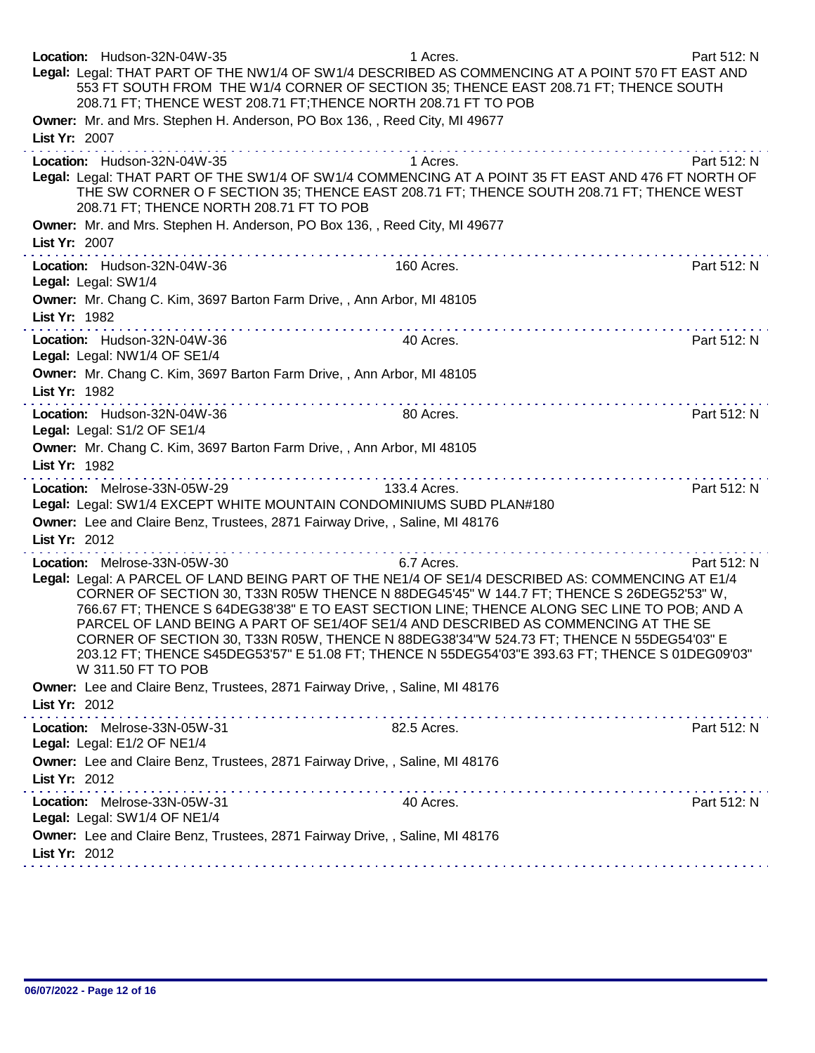| Location: Hudson-32N-04W-35<br>Legal: Legal: THAT PART OF THE NW1/4 OF SW1/4 DESCRIBED AS COMMENCING AT A POINT 570 FT EAST AND<br>553 FT SOUTH FROM THE W1/4 CORNER OF SECTION 35; THENCE EAST 208.71 FT; THENCE SOUTH<br>208.71 FT; THENCE WEST 208.71 FT; THENCE NORTH 208.71 FT TO POB                                                                                                                                                                                                                                                                                                                                                   | 1 Acres.     | Part 512: N |
|----------------------------------------------------------------------------------------------------------------------------------------------------------------------------------------------------------------------------------------------------------------------------------------------------------------------------------------------------------------------------------------------------------------------------------------------------------------------------------------------------------------------------------------------------------------------------------------------------------------------------------------------|--------------|-------------|
| Owner: Mr. and Mrs. Stephen H. Anderson, PO Box 136, , Reed City, MI 49677<br>List Yr: 2007                                                                                                                                                                                                                                                                                                                                                                                                                                                                                                                                                  |              |             |
| Location: Hudson-32N-04W-35<br>Legal: Legal: THAT PART OF THE SW1/4 OF SW1/4 COMMENCING AT A POINT 35 FT EAST AND 476 FT NORTH OF<br>THE SW CORNER O F SECTION 35; THENCE EAST 208.71 FT; THENCE SOUTH 208.71 FT; THENCE WEST<br>208.71 FT; THENCE NORTH 208.71 FT TO POB                                                                                                                                                                                                                                                                                                                                                                    | 1 Acres.     | Part 512: N |
| Owner: Mr. and Mrs. Stephen H. Anderson, PO Box 136, , Reed City, MI 49677<br>List Yr: 2007                                                                                                                                                                                                                                                                                                                                                                                                                                                                                                                                                  |              |             |
| Location: Hudson-32N-04W-36<br>Legal: Legal: SW1/4                                                                                                                                                                                                                                                                                                                                                                                                                                                                                                                                                                                           | 160 Acres.   | Part 512: N |
| Owner: Mr. Chang C. Kim, 3697 Barton Farm Drive,, Ann Arbor, MI 48105<br>List Yr: 1982                                                                                                                                                                                                                                                                                                                                                                                                                                                                                                                                                       |              |             |
| Location: Hudson-32N-04W-36<br>Legal: Legal: NW1/4 OF SE1/4                                                                                                                                                                                                                                                                                                                                                                                                                                                                                                                                                                                  | 40 Acres.    | Part 512: N |
| Owner: Mr. Chang C. Kim, 3697 Barton Farm Drive,, Ann Arbor, MI 48105<br>List Yr: 1982                                                                                                                                                                                                                                                                                                                                                                                                                                                                                                                                                       |              |             |
| Location: Hudson-32N-04W-36<br>Legal: Legal: S1/2 OF SE1/4                                                                                                                                                                                                                                                                                                                                                                                                                                                                                                                                                                                   | 80 Acres.    | Part 512: N |
| Owner: Mr. Chang C. Kim, 3697 Barton Farm Drive, , Ann Arbor, MI 48105<br>List Yr: 1982                                                                                                                                                                                                                                                                                                                                                                                                                                                                                                                                                      |              |             |
| Location: Melrose-33N-05W-29<br>Legal: Legal: SW1/4 EXCEPT WHITE MOUNTAIN CONDOMINIUMS SUBD PLAN#180                                                                                                                                                                                                                                                                                                                                                                                                                                                                                                                                         | 133.4 Acres. | Part 512: N |
| Owner: Lee and Claire Benz, Trustees, 2871 Fairway Drive,, Saline, MI 48176<br>List Yr: 2012                                                                                                                                                                                                                                                                                                                                                                                                                                                                                                                                                 |              |             |
| .<br>Location: Melrose-33N-05W-30<br>Legal: Legal: A PARCEL OF LAND BEING PART OF THE NE1/4 OF SE1/4 DESCRIBED AS: COMMENCING AT E1/4<br>CORNER OF SECTION 30, T33N R05W THENCE N 88DEG45'45" W 144.7 FT; THENCE S 26DEG52'53" W,<br>766.67 FT; THENCE S 64DEG38'38" E TO EAST SECTION LINE; THENCE ALONG SEC LINE TO POB; AND A<br>PARCEL OF LAND BEING A PART OF SE1/4OF SE1/4 AND DESCRIBED AS COMMENCING AT THE SE<br>CORNER OF SECTION 30, T33N R05W, THENCE N 88DEG38'34"W 524.73 FT; THENCE N 55DEG54'03" E<br>203.12 FT; THENCE S45DEG53'57" E 51.08 FT; THENCE N 55DEG54'03"E 393.63 FT; THENCE S 01DEG09'03"<br>W 311.50 FT TO POB | 6.7 Acres.   | Part 512: N |
| Owner: Lee and Claire Benz, Trustees, 2871 Fairway Drive,, Saline, MI 48176<br>List Yr: 2012                                                                                                                                                                                                                                                                                                                                                                                                                                                                                                                                                 |              |             |
| Location: Melrose-33N-05W-31<br>Legal: Legal: E1/2 OF NE1/4                                                                                                                                                                                                                                                                                                                                                                                                                                                                                                                                                                                  | 82.5 Acres.  | Part 512: N |
| Owner: Lee and Claire Benz, Trustees, 2871 Fairway Drive, , Saline, MI 48176<br>List Yr: 2012                                                                                                                                                                                                                                                                                                                                                                                                                                                                                                                                                |              |             |
| Location: Melrose-33N-05W-31<br>Legal: Legal: SW1/4 OF NE1/4                                                                                                                                                                                                                                                                                                                                                                                                                                                                                                                                                                                 | 40 Acres.    | Part 512: N |
| Owner: Lee and Claire Benz, Trustees, 2871 Fairway Drive, , Saline, MI 48176<br>List Yr: 2012                                                                                                                                                                                                                                                                                                                                                                                                                                                                                                                                                |              |             |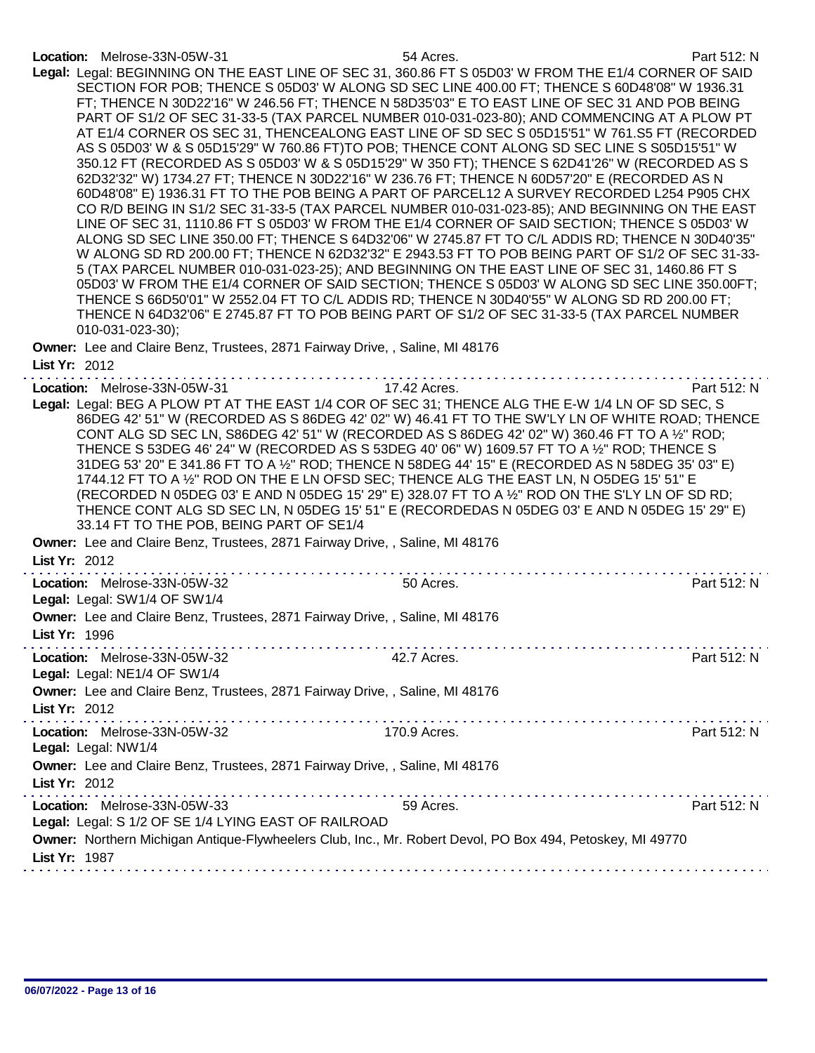| Location: Melrose-33N-05W-31<br>Legal: Legal: BEGINNING ON THE EAST LINE OF SEC 31, 360.86 FT S 05D03' W FROM THE E1/4 CORNER OF SAID<br>SECTION FOR POB; THENCE S 05D03' W ALONG SD SEC LINE 400.00 FT; THENCE S 60D48'08" W 1936.31<br>FT; THENCE N 30D22'16" W 246.56 FT; THENCE N 58D35'03" E TO EAST LINE OF SEC 31 AND POB BEING<br>PART OF S1/2 OF SEC 31-33-5 (TAX PARCEL NUMBER 010-031-023-80); AND COMMENCING AT A PLOW PT<br>AT E1/4 CORNER OS SEC 31, THENCEALONG EAST LINE OF SD SEC S 05D15'51" W 761.S5 FT (RECORDED<br>AS S 05D03' W & S 05D15'29" W 760.86 FT)TO POB; THENCE CONT ALONG SD SEC LINE S S05D15'51" W<br>350.12 FT (RECORDED AS S 05D03' W & S 05D15'29" W 350 FT); THENCE S 62D41'26" W (RECORDED AS S<br>62D32'32" W) 1734.27 FT; THENCE N 30D22'16" W 236.76 FT; THENCE N 60D57'20" E (RECORDED AS N<br>60D48'08" E) 1936.31 FT TO THE POB BEING A PART OF PARCEL12 A SURVEY RECORDED L254 P905 CHX<br>CO R/D BEING IN S1/2 SEC 31-33-5 (TAX PARCEL NUMBER 010-031-023-85); AND BEGINNING ON THE EAST<br>LINE OF SEC 31, 1110.86 FT S 05D03' W FROM THE E1/4 CORNER OF SAID SECTION; THENCE S 05D03' W<br>ALONG SD SEC LINE 350.00 FT; THENCE S 64D32'06" W 2745.87 FT TO C/L ADDIS RD; THENCE N 30D40'35"<br>W ALONG SD RD 200.00 FT; THENCE N 62D32'32" E 2943.53 FT TO POB BEING PART OF S1/2 OF SEC 31-33-<br>5 (TAX PARCEL NUMBER 010-031-023-25); AND BEGINNING ON THE EAST LINE OF SEC 31, 1460.86 FT S<br>05D03' W FROM THE E1/4 CORNER OF SAID SECTION; THENCE S 05D03' W ALONG SD SEC LINE 350.00FT;<br>THENCE S 66D50'01" W 2552.04 FT TO C/L ADDIS RD; THENCE N 30D40'55" W ALONG SD RD 200.00 FT;<br>THENCE N 64D32'06" E 2745.87 FT TO POB BEING PART OF S1/2 OF SEC 31-33-5 (TAX PARCEL NUMBER<br>010-031-023-30); | 54 Acres.    | Part 512: N |
|---------------------------------------------------------------------------------------------------------------------------------------------------------------------------------------------------------------------------------------------------------------------------------------------------------------------------------------------------------------------------------------------------------------------------------------------------------------------------------------------------------------------------------------------------------------------------------------------------------------------------------------------------------------------------------------------------------------------------------------------------------------------------------------------------------------------------------------------------------------------------------------------------------------------------------------------------------------------------------------------------------------------------------------------------------------------------------------------------------------------------------------------------------------------------------------------------------------------------------------------------------------------------------------------------------------------------------------------------------------------------------------------------------------------------------------------------------------------------------------------------------------------------------------------------------------------------------------------------------------------------------------------------------------------------------------------------------------------------------------------------------------------|--------------|-------------|
| Owner: Lee and Claire Benz, Trustees, 2871 Fairway Drive,, Saline, MI 48176                                                                                                                                                                                                                                                                                                                                                                                                                                                                                                                                                                                                                                                                                                                                                                                                                                                                                                                                                                                                                                                                                                                                                                                                                                                                                                                                                                                                                                                                                                                                                                                                                                                                                         |              |             |
| List Yr: 2012                                                                                                                                                                                                                                                                                                                                                                                                                                                                                                                                                                                                                                                                                                                                                                                                                                                                                                                                                                                                                                                                                                                                                                                                                                                                                                                                                                                                                                                                                                                                                                                                                                                                                                                                                       | . <b>.</b>   |             |
| Location: Melrose-33N-05W-31<br>Legal: Legal: BEG A PLOW PT AT THE EAST 1/4 COR OF SEC 31; THENCE ALG THE E-W 1/4 LN OF SD SEC, S<br>86DEG 42' 51" W (RECORDED AS S 86DEG 42' 02" W) 46.41 FT TO THE SW'LY LN OF WHITE ROAD; THENCE<br>CONT ALG SD SEC LN, S86DEG 42' 51" W (RECORDED AS S 86DEG 42' 02" W) 360.46 FT TO A 1/2" ROD;<br>THENCE S 53DEG 46' 24" W (RECORDED AS S 53DEG 40' 06" W) 1609.57 FT TO A 1/2" ROD; THENCE S<br>31DEG 53' 20" E 341.86 FT TO A 1/2" ROD; THENCE N 58DEG 44' 15" E (RECORDED AS N 58DEG 35' 03" E)<br>1744.12 FT TO A 1/2" ROD ON THE E LN OFSD SEC; THENCE ALG THE EAST LN, N O5DEG 15' 51" E<br>(RECORDED N 05DEG 03' E AND N 05DEG 15' 29" E) 328.07 FT TO A 1/2" ROD ON THE S'LY LN OF SD RD;<br>THENCE CONT ALG SD SEC LN, N 05DEG 15' 51" E (RECORDEDAS N 05DEG 03' E AND N 05DEG 15' 29" E)<br>33.14 FT TO THE POB, BEING PART OF SE1/4                                                                                                                                                                                                                                                                                                                                                                                                                                                                                                                                                                                                                                                                                                                                                                                                                                                                                | 17.42 Acres. | Part 512: N |
| Owner: Lee and Claire Benz, Trustees, 2871 Fairway Drive,, Saline, MI 48176<br>List Yr: 2012                                                                                                                                                                                                                                                                                                                                                                                                                                                                                                                                                                                                                                                                                                                                                                                                                                                                                                                                                                                                                                                                                                                                                                                                                                                                                                                                                                                                                                                                                                                                                                                                                                                                        |              |             |
| Location: Melrose-33N-05W-32<br>Legal: Legal: SW1/4 OF SW1/4                                                                                                                                                                                                                                                                                                                                                                                                                                                                                                                                                                                                                                                                                                                                                                                                                                                                                                                                                                                                                                                                                                                                                                                                                                                                                                                                                                                                                                                                                                                                                                                                                                                                                                        | 50 Acres.    | Part 512: N |
| Owner: Lee and Claire Benz, Trustees, 2871 Fairway Drive,, Saline, MI 48176<br>List Yr: 1996                                                                                                                                                                                                                                                                                                                                                                                                                                                                                                                                                                                                                                                                                                                                                                                                                                                                                                                                                                                                                                                                                                                                                                                                                                                                                                                                                                                                                                                                                                                                                                                                                                                                        |              |             |
| Location: Melrose-33N-05W-32<br>Legal: Legal: NE1/4 OF SW1/4                                                                                                                                                                                                                                                                                                                                                                                                                                                                                                                                                                                                                                                                                                                                                                                                                                                                                                                                                                                                                                                                                                                                                                                                                                                                                                                                                                                                                                                                                                                                                                                                                                                                                                        | 42.7 Acres.  | Part 512: N |
| Owner: Lee and Claire Benz, Trustees, 2871 Fairway Drive,, Saline, MI 48176<br>List Yr: 2012                                                                                                                                                                                                                                                                                                                                                                                                                                                                                                                                                                                                                                                                                                                                                                                                                                                                                                                                                                                                                                                                                                                                                                                                                                                                                                                                                                                                                                                                                                                                                                                                                                                                        |              |             |
| Location: Melrose-33N-05W-32<br>Legal: Legal: NW1/4                                                                                                                                                                                                                                                                                                                                                                                                                                                                                                                                                                                                                                                                                                                                                                                                                                                                                                                                                                                                                                                                                                                                                                                                                                                                                                                                                                                                                                                                                                                                                                                                                                                                                                                 | 170.9 Acres. | Part 512: N |
| Owner: Lee and Claire Benz, Trustees, 2871 Fairway Drive,, Saline, MI 48176<br>List Yr: 2012                                                                                                                                                                                                                                                                                                                                                                                                                                                                                                                                                                                                                                                                                                                                                                                                                                                                                                                                                                                                                                                                                                                                                                                                                                                                                                                                                                                                                                                                                                                                                                                                                                                                        |              |             |
| Location: Melrose-33N-05W-33<br>Legal: Legal: S 1/2 OF SE 1/4 LYING EAST OF RAILROAD                                                                                                                                                                                                                                                                                                                                                                                                                                                                                                                                                                                                                                                                                                                                                                                                                                                                                                                                                                                                                                                                                                                                                                                                                                                                                                                                                                                                                                                                                                                                                                                                                                                                                | 59 Acres.    | Part 512: N |
| Owner: Northern Michigan Antique-Flywheelers Club, Inc., Mr. Robert Devol, PO Box 494, Petoskey, MI 49770<br>List Yr: 1987                                                                                                                                                                                                                                                                                                                                                                                                                                                                                                                                                                                                                                                                                                                                                                                                                                                                                                                                                                                                                                                                                                                                                                                                                                                                                                                                                                                                                                                                                                                                                                                                                                          |              |             |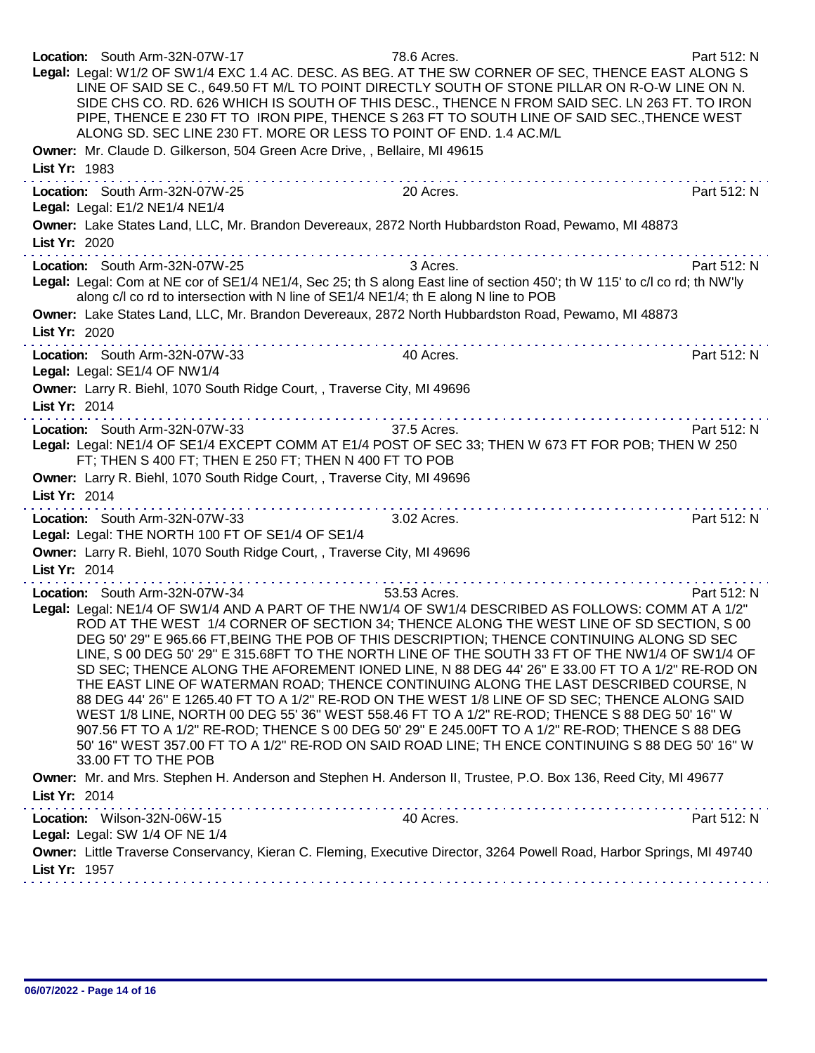| Location: South Arm-32N-07W-17<br>Legal: Legal: W1/2 OF SW1/4 EXC 1.4 AC. DESC. AS BEG. AT THE SW CORNER OF SEC, THENCE EAST ALONG S<br>ALONG SD. SEC LINE 230 FT. MORE OR LESS TO POINT OF END. 1.4 AC.M/L<br>Owner: Mr. Claude D. Gilkerson, 504 Green Acre Drive, , Bellaire, MI 49615 | 78.6 Acres.<br>LINE OF SAID SE C., 649.50 FT M/L TO POINT DIRECTLY SOUTH OF STONE PILLAR ON R-O-W LINE ON N.<br>SIDE CHS CO. RD. 626 WHICH IS SOUTH OF THIS DESC., THENCE N FROM SAID SEC. LN 263 FT. TO IRON<br>PIPE, THENCE E 230 FT TO IRON PIPE, THENCE S 263 FT TO SOUTH LINE OF SAID SEC., THENCE WEST                                                                                                                                                                | Part 512: N |
|-------------------------------------------------------------------------------------------------------------------------------------------------------------------------------------------------------------------------------------------------------------------------------------------|-----------------------------------------------------------------------------------------------------------------------------------------------------------------------------------------------------------------------------------------------------------------------------------------------------------------------------------------------------------------------------------------------------------------------------------------------------------------------------|-------------|
| List Yr: 1983                                                                                                                                                                                                                                                                             |                                                                                                                                                                                                                                                                                                                                                                                                                                                                             |             |
| Location: South Arm-32N-07W-25<br>Legal: Legal: E1/2 NE1/4 NE1/4                                                                                                                                                                                                                          | 20 Acres.                                                                                                                                                                                                                                                                                                                                                                                                                                                                   | Part 512: N |
| Owner: Lake States Land, LLC, Mr. Brandon Devereaux, 2872 North Hubbardston Road, Pewamo, MI 48873<br>List Yr: 2020                                                                                                                                                                       |                                                                                                                                                                                                                                                                                                                                                                                                                                                                             |             |
| Location: South Arm-32N-07W-25                                                                                                                                                                                                                                                            | 3 Acres.                                                                                                                                                                                                                                                                                                                                                                                                                                                                    | Part 512: N |
| Legal: Legal: Com at NE cor of SE1/4 NE1/4, Sec 25; th S along East line of section 450'; th W 115' to c/l co rd; th NW'ly<br>along c/l co rd to intersection with N line of SE1/4 NE1/4; th E along N line to POB                                                                        |                                                                                                                                                                                                                                                                                                                                                                                                                                                                             |             |
| Owner: Lake States Land, LLC, Mr. Brandon Devereaux, 2872 North Hubbardston Road, Pewamo, MI 48873                                                                                                                                                                                        |                                                                                                                                                                                                                                                                                                                                                                                                                                                                             |             |
| List Yr: 2020                                                                                                                                                                                                                                                                             |                                                                                                                                                                                                                                                                                                                                                                                                                                                                             |             |
| Location: South Arm-32N-07W-33<br>Legal: Legal: SE1/4 OF NW1/4                                                                                                                                                                                                                            | 40 Acres.                                                                                                                                                                                                                                                                                                                                                                                                                                                                   | Part 512: N |
| Owner: Larry R. Biehl, 1070 South Ridge Court, , Traverse City, MI 49696                                                                                                                                                                                                                  |                                                                                                                                                                                                                                                                                                                                                                                                                                                                             |             |
| List Yr: 2014                                                                                                                                                                                                                                                                             | .                                                                                                                                                                                                                                                                                                                                                                                                                                                                           |             |
| Location: South Arm-32N-07W-33                                                                                                                                                                                                                                                            | 37.5 Acres.                                                                                                                                                                                                                                                                                                                                                                                                                                                                 | Part 512: N |
| Legal: Legal: NE1/4 OF SE1/4 EXCEPT COMM AT E1/4 POST OF SEC 33; THEN W 673 FT FOR POB; THEN W 250<br>FT; THEN S 400 FT; THEN E 250 FT; THEN N 400 FT TO POB                                                                                                                              |                                                                                                                                                                                                                                                                                                                                                                                                                                                                             |             |
| Owner: Larry R. Biehl, 1070 South Ridge Court, , Traverse City, MI 49696                                                                                                                                                                                                                  |                                                                                                                                                                                                                                                                                                                                                                                                                                                                             |             |
| List Yr: 2014                                                                                                                                                                                                                                                                             |                                                                                                                                                                                                                                                                                                                                                                                                                                                                             |             |
| Location: South Arm-32N-07W-33                                                                                                                                                                                                                                                            | $\mathcal{L}^{\mathcal{A}}(\mathcal{A},\mathcal{A},\mathcal{A},\mathcal{A},\mathcal{A},\mathcal{A},\mathcal{A},\mathcal{A},\mathcal{A},\mathcal{A},\mathcal{A},\mathcal{A},\mathcal{A},\mathcal{A},\mathcal{A},\mathcal{A},\mathcal{A},\mathcal{A},\mathcal{A},\mathcal{A},\mathcal{A},\mathcal{A},\mathcal{A},\mathcal{A},\mathcal{A},\mathcal{A},\mathcal{A},\mathcal{A},\mathcal{A},\mathcal{A},\mathcal{A},\mathcal{A},\mathcal{A},\mathcal{A},\mathcal$<br>3.02 Acres. | Part 512: N |
| Legal: Legal: THE NORTH 100 FT OF SE1/4 OF SE1/4                                                                                                                                                                                                                                          |                                                                                                                                                                                                                                                                                                                                                                                                                                                                             |             |
| Owner: Larry R. Biehl, 1070 South Ridge Court, , Traverse City, MI 49696                                                                                                                                                                                                                  |                                                                                                                                                                                                                                                                                                                                                                                                                                                                             |             |
| List Yr: 2014                                                                                                                                                                                                                                                                             |                                                                                                                                                                                                                                                                                                                                                                                                                                                                             |             |
| Location: South Arm-32N-07W-34                                                                                                                                                                                                                                                            | 53.53 Acres.                                                                                                                                                                                                                                                                                                                                                                                                                                                                | Part 512: N |
| Legal: Legal: NE1/4 OF SW1/4 AND A PART OF THE NW1/4 OF SW1/4 DESCRIBED AS FOLLOWS: COMM AT A 1/2"                                                                                                                                                                                        |                                                                                                                                                                                                                                                                                                                                                                                                                                                                             |             |
|                                                                                                                                                                                                                                                                                           | ROD AT THE WEST 1/4 CORNER OF SECTION 34; THENCE ALONG THE WEST LINE OF SD SECTION, S 00<br>DEG 50' 29" E 965.66 FT, BEING THE POB OF THIS DESCRIPTION; THENCE CONTINUING ALONG SD SEC                                                                                                                                                                                                                                                                                      |             |
|                                                                                                                                                                                                                                                                                           | LINE, S 00 DEG 50' 29" E 315.68FT TO THE NORTH LINE OF THE SOUTH 33 FT OF THE NW1/4 OF SW1/4 OF                                                                                                                                                                                                                                                                                                                                                                             |             |
|                                                                                                                                                                                                                                                                                           | SD SEC; THENCE ALONG THE AFOREMENT IONED LINE, N 88 DEG 44' 26" E 33.00 FT TO A 1/2" RE-ROD ON                                                                                                                                                                                                                                                                                                                                                                              |             |
|                                                                                                                                                                                                                                                                                           | THE EAST LINE OF WATERMAN ROAD; THENCE CONTINUING ALONG THE LAST DESCRIBED COURSE, N                                                                                                                                                                                                                                                                                                                                                                                        |             |
|                                                                                                                                                                                                                                                                                           | 88 DEG 44' 26" E 1265.40 FT TO A 1/2" RE-ROD ON THE WEST 1/8 LINE OF SD SEC; THENCE ALONG SAID<br>WEST 1/8 LINE, NORTH 00 DEG 55' 36" WEST 558.46 FT TO A 1/2" RE-ROD; THENCE S 88 DEG 50' 16" W                                                                                                                                                                                                                                                                            |             |
|                                                                                                                                                                                                                                                                                           | 907.56 FT TO A 1/2" RE-ROD; THENCE S 00 DEG 50' 29" E 245.00FT TO A 1/2" RE-ROD; THENCE S 88 DEG                                                                                                                                                                                                                                                                                                                                                                            |             |
| 33.00 FT TO THE POB                                                                                                                                                                                                                                                                       | 50' 16" WEST 357.00 FT TO A 1/2" RE-ROD ON SAID ROAD LINE; TH ENCE CONTINUING S 88 DEG 50' 16" W                                                                                                                                                                                                                                                                                                                                                                            |             |
| Owner: Mr. and Mrs. Stephen H. Anderson and Stephen H. Anderson II, Trustee, P.O. Box 136, Reed City, MI 49677                                                                                                                                                                            |                                                                                                                                                                                                                                                                                                                                                                                                                                                                             |             |
| List Yr: 2014                                                                                                                                                                                                                                                                             |                                                                                                                                                                                                                                                                                                                                                                                                                                                                             |             |
| Location: Wilson-32N-06W-15                                                                                                                                                                                                                                                               | 40 Acres.                                                                                                                                                                                                                                                                                                                                                                                                                                                                   | Part 512: N |
| Legal: Legal: SW 1/4 OF NE 1/4                                                                                                                                                                                                                                                            |                                                                                                                                                                                                                                                                                                                                                                                                                                                                             |             |
| Owner: Little Traverse Conservancy, Kieran C. Fleming, Executive Director, 3264 Powell Road, Harbor Springs, MI 49740                                                                                                                                                                     |                                                                                                                                                                                                                                                                                                                                                                                                                                                                             |             |
| List Yr: 1957                                                                                                                                                                                                                                                                             |                                                                                                                                                                                                                                                                                                                                                                                                                                                                             |             |
|                                                                                                                                                                                                                                                                                           |                                                                                                                                                                                                                                                                                                                                                                                                                                                                             |             |